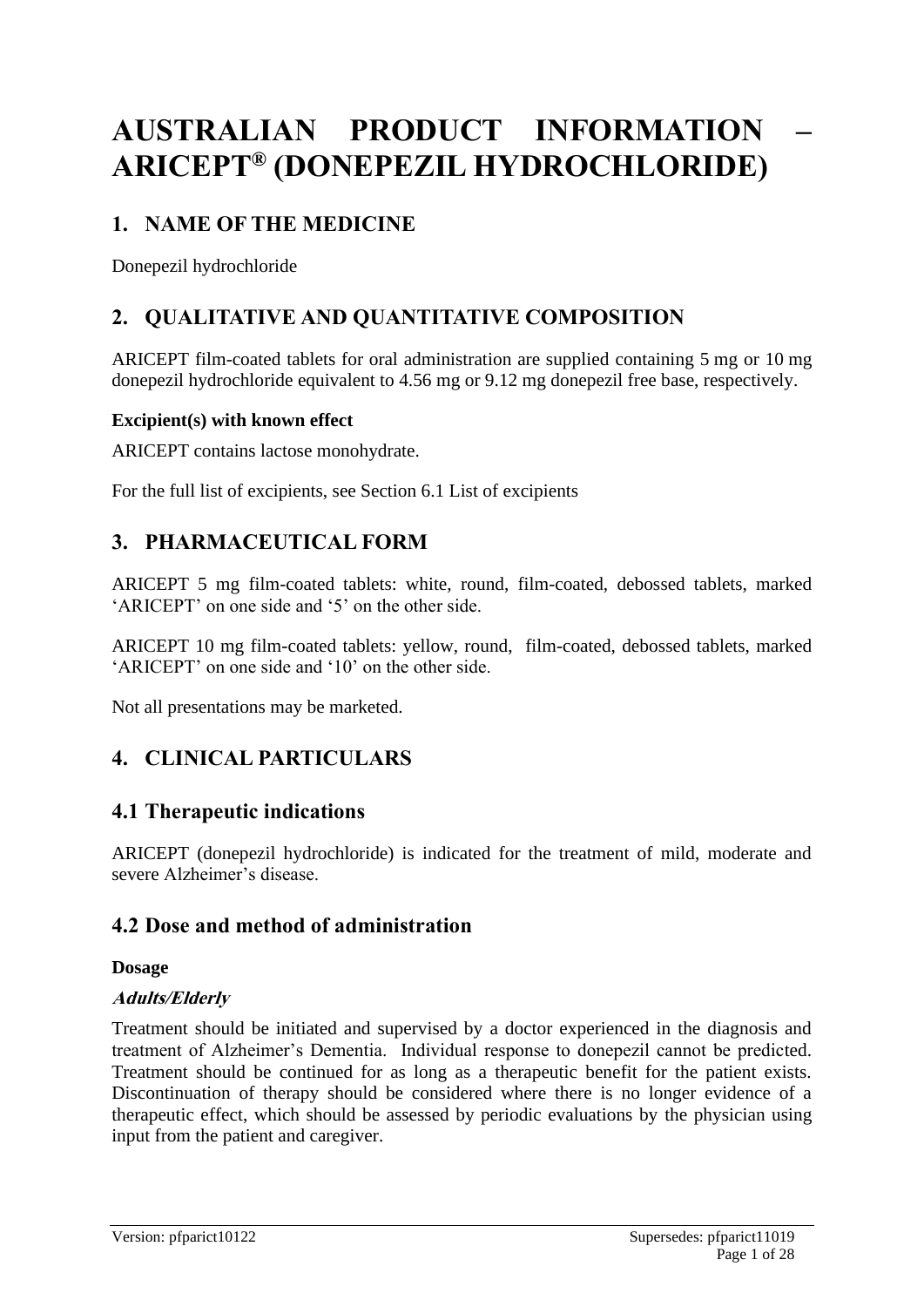# **AUSTRALIAN PRODUCT INFORMATION – ARICEPT® (DONEPEZIL HYDROCHLORIDE)**

# **1. NAME OF THE MEDICINE**

Donepezil hydrochloride

# **2. QUALITATIVE AND QUANTITATIVE COMPOSITION**

ARICEPT film-coated tablets for oral administration are supplied containing 5 mg or 10 mg donepezil hydrochloride equivalent to 4.56 mg or 9.12 mg donepezil free base, respectively.

### **Excipient(s) with known effect**

ARICEPT contains lactose monohydrate.

For the full list of excipients, see Section 6.1 List of excipients

# **3. PHARMACEUTICAL FORM**

ARICEPT 5 mg film-coated tablets: white, round, film-coated, debossed tablets, marked 'ARICEPT' on one side and '5' on the other side.

ARICEPT 10 mg film-coated tablets: yellow, round, film-coated, debossed tablets, marked 'ARICEPT' on one side and '10' on the other side.

Not all presentations may be marketed.

# **4. CLINICAL PARTICULARS**

### **4.1 Therapeutic indications**

ARICEPT (donepezil hydrochloride) is indicated for the treatment of mild, moderate and severe Alzheimer's disease.

# **4.2 Dose and method of administration**

### **Dosage**

### **Adults/Elderly**

Treatment should be initiated and supervised by a doctor experienced in the diagnosis and treatment of Alzheimer's Dementia. Individual response to donepezil cannot be predicted. Treatment should be continued for as long as a therapeutic benefit for the patient exists. Discontinuation of therapy should be considered where there is no longer evidence of a therapeutic effect, which should be assessed by periodic evaluations by the physician using input from the patient and caregiver.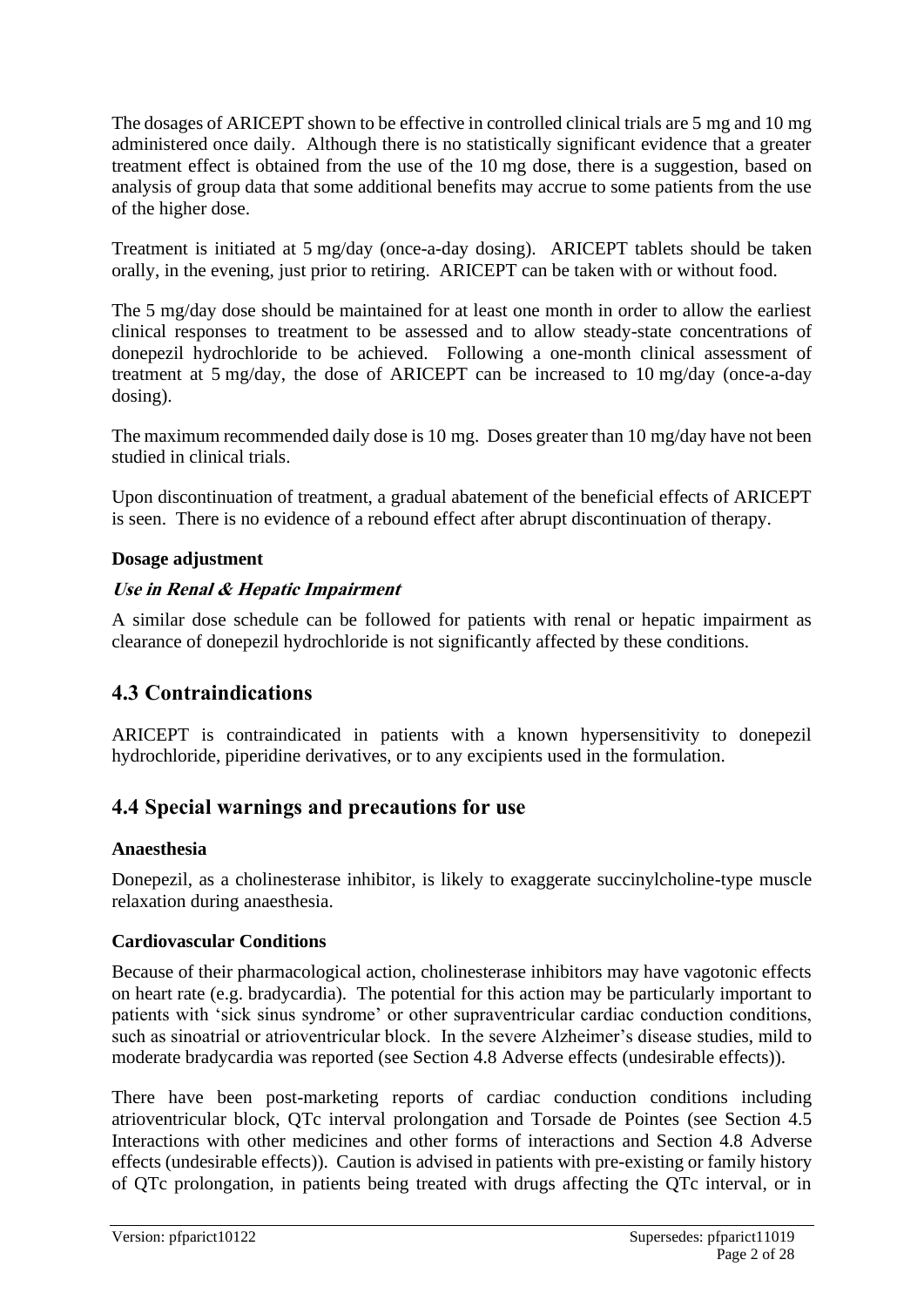The dosages of ARICEPT shown to be effective in controlled clinical trials are 5 mg and 10 mg administered once daily. Although there is no statistically significant evidence that a greater treatment effect is obtained from the use of the 10 mg dose, there is a suggestion, based on analysis of group data that some additional benefits may accrue to some patients from the use of the higher dose.

Treatment is initiated at 5 mg/day (once-a-day dosing). ARICEPT tablets should be taken orally, in the evening, just prior to retiring. ARICEPT can be taken with or without food.

The 5 mg/day dose should be maintained for at least one month in order to allow the earliest clinical responses to treatment to be assessed and to allow steady-state concentrations of donepezil hydrochloride to be achieved. Following a one-month clinical assessment of treatment at 5 mg/day, the dose of ARICEPT can be increased to 10 mg/day (once-a-day dosing).

The maximum recommended daily dose is 10 mg. Doses greater than 10 mg/day have not been studied in clinical trials.

Upon discontinuation of treatment, a gradual abatement of the beneficial effects of ARICEPT is seen. There is no evidence of a rebound effect after abrupt discontinuation of therapy.

#### **Dosage adjustment**

### **Use in Renal & Hepatic Impairment**

A similar dose schedule can be followed for patients with renal or hepatic impairment as clearance of donepezil hydrochloride is not significantly affected by these conditions.

# **4.3 Contraindications**

ARICEPT is contraindicated in patients with a known hypersensitivity to donepezil hydrochloride, piperidine derivatives, or to any excipients used in the formulation.

# **4.4 Special warnings and precautions for use**

#### **Anaesthesia**

Donepezil, as a cholinesterase inhibitor, is likely to exaggerate succinylcholine-type muscle relaxation during anaesthesia.

### **Cardiovascular Conditions**

Because of their pharmacological action, cholinesterase inhibitors may have vagotonic effects on heart rate (e.g. bradycardia). The potential for this action may be particularly important to patients with 'sick sinus syndrome' or other supraventricular cardiac conduction conditions, such as sinoatrial or atrioventricular block. In the severe Alzheimer's disease studies, mild to moderate bradycardia was reported (see Section 4.8 Adverse effects (undesirable effects)).

There have been post-marketing reports of cardiac conduction conditions including atrioventricular block, QTc interval prolongation and Torsade de Pointes (see Section 4.5 Interactions with other medicines and other forms of interactions and Section 4.8 Adverse effects (undesirable effects)). Caution is advised in patients with pre-existing or family history of QTc prolongation, in patients being treated with drugs affecting the QTc interval, or in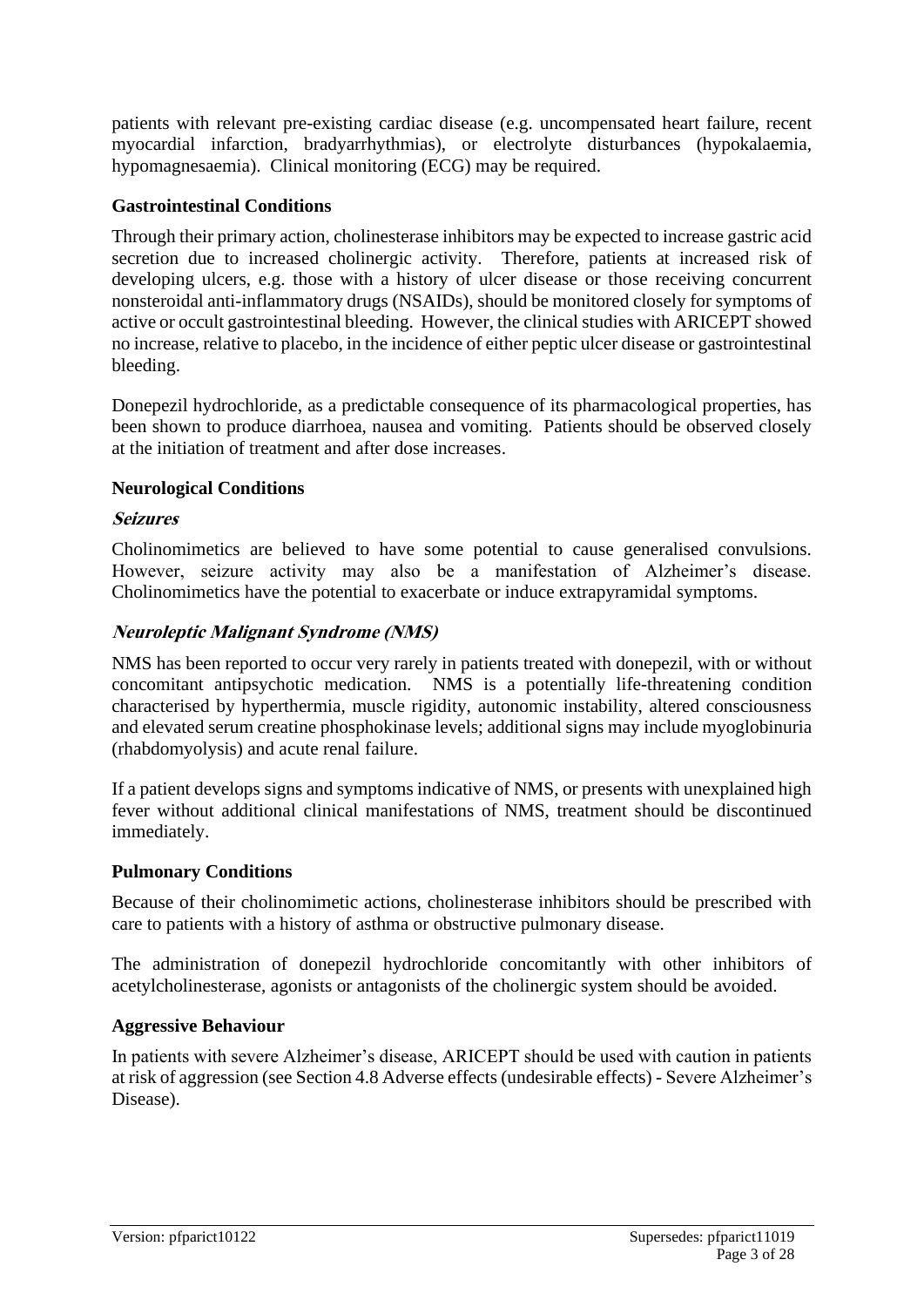patients with relevant pre-existing cardiac disease (e.g. uncompensated heart failure, recent myocardial infarction, bradyarrhythmias), or electrolyte disturbances (hypokalaemia, hypomagnesaemia). Clinical monitoring (ECG) may be required.

### **Gastrointestinal Conditions**

Through their primary action, cholinesterase inhibitors may be expected to increase gastric acid secretion due to increased cholinergic activity. Therefore, patients at increased risk of developing ulcers, e.g. those with a history of ulcer disease or those receiving concurrent nonsteroidal anti-inflammatory drugs (NSAIDs), should be monitored closely for symptoms of active or occult gastrointestinal bleeding. However, the clinical studies with ARICEPT showed no increase, relative to placebo, in the incidence of either peptic ulcer disease or gastrointestinal bleeding.

Donepezil hydrochloride, as a predictable consequence of its pharmacological properties, has been shown to produce diarrhoea, nausea and vomiting. Patients should be observed closely at the initiation of treatment and after dose increases.

### **Neurological Conditions**

### **Seizures**

Cholinomimetics are believed to have some potential to cause generalised convulsions. However, seizure activity may also be a manifestation of Alzheimer's disease. Cholinomimetics have the potential to exacerbate or induce extrapyramidal symptoms.

### **Neuroleptic Malignant Syndrome (NMS)**

NMS has been reported to occur very rarely in patients treated with donepezil, with or without concomitant antipsychotic medication. NMS is a potentially life-threatening condition characterised by hyperthermia, muscle rigidity, autonomic instability, altered consciousness and elevated serum creatine phosphokinase levels; additional signs may include myoglobinuria (rhabdomyolysis) and acute renal failure.

If a patient develops signs and symptoms indicative of NMS, or presents with unexplained high fever without additional clinical manifestations of NMS, treatment should be discontinued immediately.

### **Pulmonary Conditions**

Because of their cholinomimetic actions, cholinesterase inhibitors should be prescribed with care to patients with a history of asthma or obstructive pulmonary disease.

The administration of donepezil hydrochloride concomitantly with other inhibitors of acetylcholinesterase, agonists or antagonists of the cholinergic system should be avoided.

### **Aggressive Behaviour**

In patients with severe Alzheimer's disease, ARICEPT should be used with caution in patients at risk of aggression (see Section 4.8 Adverse effects (undesirable effects) - Severe Alzheimer's Disease).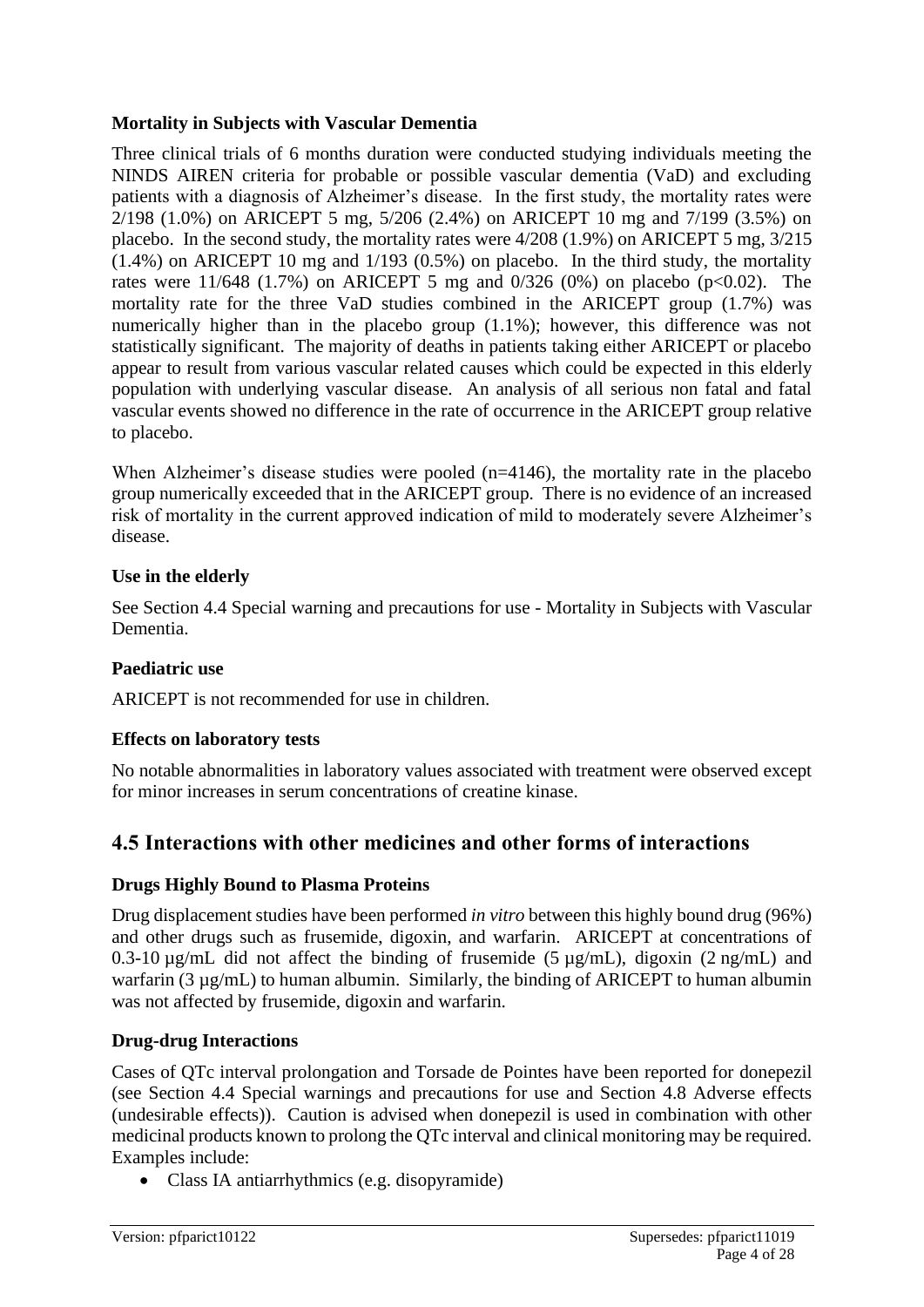#### **Mortality in Subjects with Vascular Dementia**

Three clinical trials of 6 months duration were conducted studying individuals meeting the NINDS AIREN criteria for probable or possible vascular dementia (VaD) and excluding patients with a diagnosis of Alzheimer's disease. In the first study, the mortality rates were 2/198 (1.0%) on ARICEPT 5 mg, 5/206 (2.4%) on ARICEPT 10 mg and 7/199 (3.5%) on placebo. In the second study, the mortality rates were 4/208 (1.9%) on ARICEPT 5 mg, 3/215 (1.4%) on ARICEPT 10 mg and 1/193 (0.5%) on placebo. In the third study, the mortality rates were 11/648 (1.7%) on ARICEPT 5 mg and 0/326 (0%) on placebo (p<0.02). The mortality rate for the three VaD studies combined in the ARICEPT group (1.7%) was numerically higher than in the placebo group (1.1%); however, this difference was not statistically significant. The majority of deaths in patients taking either ARICEPT or placebo appear to result from various vascular related causes which could be expected in this elderly population with underlying vascular disease. An analysis of all serious non fatal and fatal vascular events showed no difference in the rate of occurrence in the ARICEPT group relative to placebo.

When Alzheimer's disease studies were pooled (n=4146), the mortality rate in the placebo group numerically exceeded that in the ARICEPT group. There is no evidence of an increased risk of mortality in the current approved indication of mild to moderately severe Alzheimer's disease.

### **Use in the elderly**

See Section 4.4 Special warning and precautions for use - Mortality in Subjects with Vascular Dementia.

### **Paediatric use**

ARICEPT is not recommended for use in children.

### **Effects on laboratory tests**

No notable abnormalities in laboratory values associated with treatment were observed except for minor increases in serum concentrations of creatine kinase.

### **4.5 Interactions with other medicines and other forms of interactions**

#### **Drugs Highly Bound to Plasma Proteins**

Drug displacement studies have been performed *in vitro* between this highly bound drug (96%) and other drugs such as frusemide, digoxin, and warfarin. ARICEPT at concentrations of 0.3-10  $\mu$ g/mL did not affect the binding of frusemide (5  $\mu$ g/mL), digoxin (2 ng/mL) and warfarin (3 µg/mL) to human albumin. Similarly, the binding of ARICEPT to human albumin was not affected by frusemide, digoxin and warfarin.

### **Drug-drug Interactions**

Cases of QTc interval prolongation and Torsade de Pointes have been reported for donepezil (see Section 4.4 Special warnings and precautions for use and Section 4.8 Adverse effects (undesirable effects)). Caution is advised when donepezil is used in combination with other medicinal products known to prolong the QTc interval and clinical monitoring may be required. Examples include:

• Class IA antiarrhythmics (e.g. disopyramide)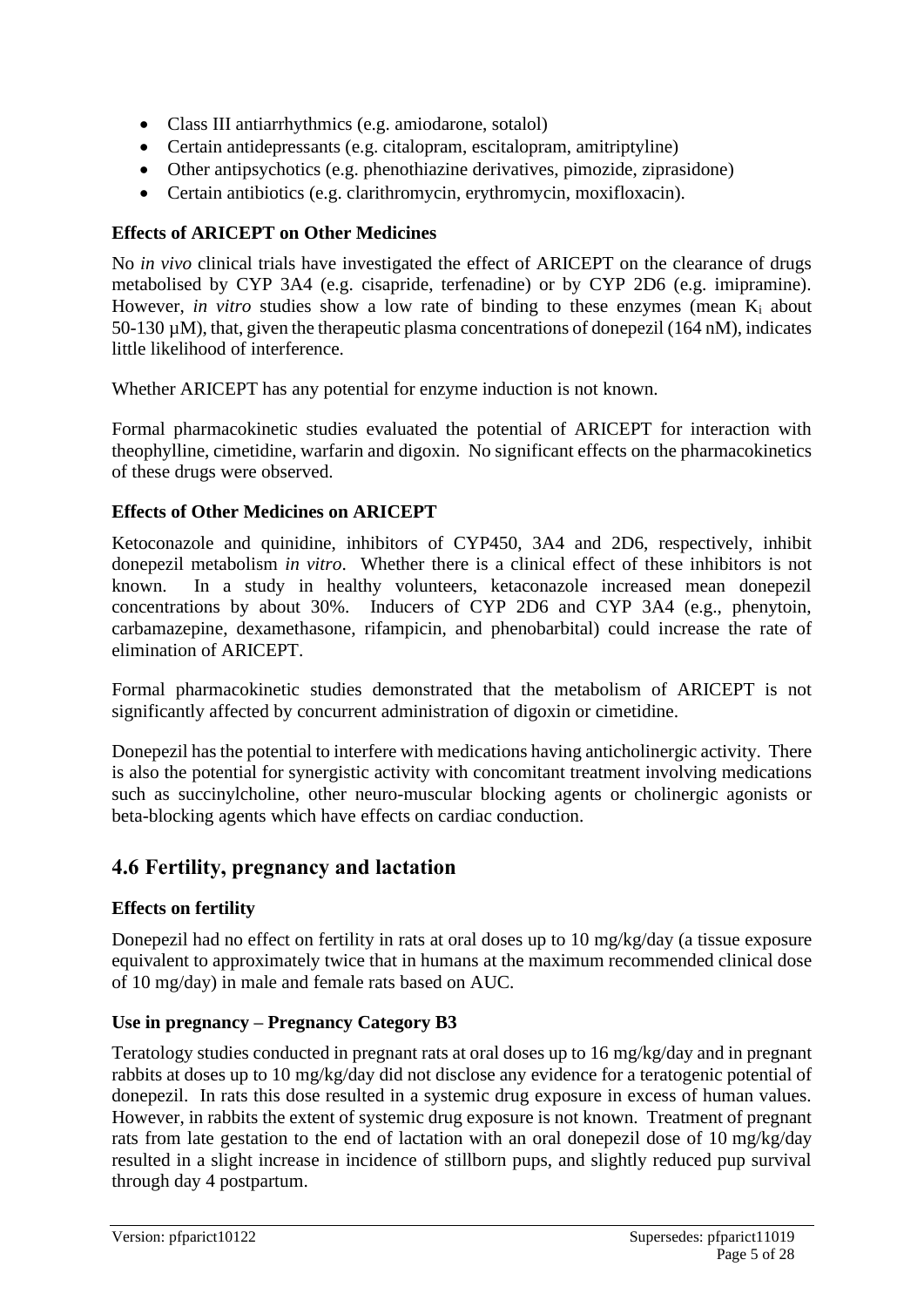- Class III antiarrhythmics (e.g. amiodarone, sotalol)
- Certain antidepressants (e.g. citalopram, escitalopram, amitriptyline)
- Other antipsychotics (e.g. phenothiazine derivatives, pimozide, ziprasidone)
- Certain antibiotics (e.g. clarithromycin, erythromycin, moxifloxacin).

### **Effects of ARICEPT on Other Medicines**

No *in vivo* clinical trials have investigated the effect of ARICEPT on the clearance of drugs metabolised by CYP 3A4 (e.g. cisapride, terfenadine) or by CYP 2D6 (e.g. imipramine). However, *in vitro* studies show a low rate of binding to these enzymes (mean K<sub>i</sub> about 50-130 µM), that, given the therapeutic plasma concentrations of donepezil (164 nM), indicates little likelihood of interference.

Whether ARICEPT has any potential for enzyme induction is not known.

Formal pharmacokinetic studies evaluated the potential of ARICEPT for interaction with theophylline, cimetidine, warfarin and digoxin. No significant effects on the pharmacokinetics of these drugs were observed.

### **Effects of Other Medicines on ARICEPT**

Ketoconazole and quinidine, inhibitors of CYP450, 3A4 and 2D6, respectively, inhibit donepezil metabolism *in vitro*. Whether there is a clinical effect of these inhibitors is not known. In a study in healthy volunteers, ketaconazole increased mean donepezil concentrations by about 30%. Inducers of CYP 2D6 and CYP 3A4 (e.g., phenytoin, carbamazepine, dexamethasone, rifampicin, and phenobarbital) could increase the rate of elimination of ARICEPT.

Formal pharmacokinetic studies demonstrated that the metabolism of ARICEPT is not significantly affected by concurrent administration of digoxin or cimetidine.

Donepezil has the potential to interfere with medications having anticholinergic activity. There is also the potential for synergistic activity with concomitant treatment involving medications such as succinylcholine, other neuro-muscular blocking agents or cholinergic agonists or beta-blocking agents which have effects on cardiac conduction.

# **4.6 Fertility, pregnancy and lactation**

### **Effects on fertility**

Donepezil had no effect on fertility in rats at oral doses up to 10 mg/kg/day (a tissue exposure equivalent to approximately twice that in humans at the maximum recommended clinical dose of 10 mg/day) in male and female rats based on AUC.

### **Use in pregnancy – Pregnancy Category B3**

Teratology studies conducted in pregnant rats at oral doses up to 16 mg/kg/day and in pregnant rabbits at doses up to 10 mg/kg/day did not disclose any evidence for a teratogenic potential of donepezil. In rats this dose resulted in a systemic drug exposure in excess of human values. However, in rabbits the extent of systemic drug exposure is not known. Treatment of pregnant rats from late gestation to the end of lactation with an oral donepezil dose of 10 mg/kg/day resulted in a slight increase in incidence of stillborn pups, and slightly reduced pup survival through day 4 postpartum.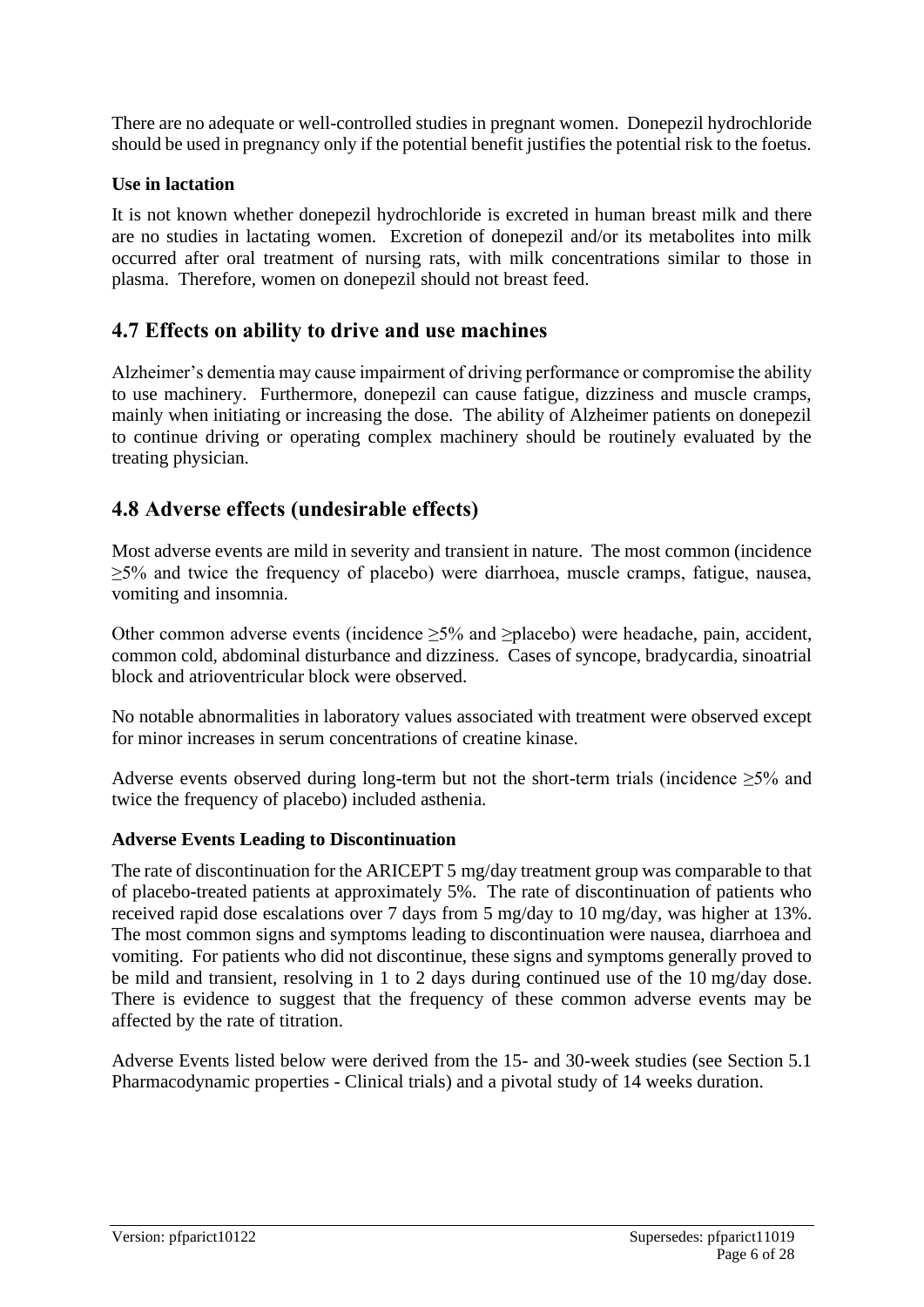There are no adequate or well-controlled studies in pregnant women. Donepezil hydrochloride should be used in pregnancy only if the potential benefit justifies the potential risk to the foetus.

#### **Use in lactation**

It is not known whether donepezil hydrochloride is excreted in human breast milk and there are no studies in lactating women. Excretion of donepezil and/or its metabolites into milk occurred after oral treatment of nursing rats, with milk concentrations similar to those in plasma. Therefore, women on donepezil should not breast feed.

# **4.7 Effects on ability to drive and use machines**

Alzheimer's dementia may cause impairment of driving performance or compromise the ability to use machinery. Furthermore, donepezil can cause fatigue, dizziness and muscle cramps, mainly when initiating or increasing the dose. The ability of Alzheimer patients on donepezil to continue driving or operating complex machinery should be routinely evaluated by the treating physician.

# **4.8 Adverse effects (undesirable effects)**

Most adverse events are mild in severity and transient in nature. The most common (incidence ≥5% and twice the frequency of placebo) were diarrhoea, muscle cramps, fatigue, nausea, vomiting and insomnia.

Other common adverse events (incidence ≥5% and ≥placebo) were headache, pain, accident, common cold, abdominal disturbance and dizziness. Cases of syncope, bradycardia, sinoatrial block and atrioventricular block were observed.

No notable abnormalities in laboratory values associated with treatment were observed except for minor increases in serum concentrations of creatine kinase.

Adverse events observed during long-term but not the short-term trials (incidence  $\geq 5\%$  and twice the frequency of placebo) included asthenia.

#### **Adverse Events Leading to Discontinuation**

The rate of discontinuation for the ARICEPT 5 mg/day treatment group was comparable to that of placebo-treated patients at approximately 5%. The rate of discontinuation of patients who received rapid dose escalations over 7 days from 5 mg/day to 10 mg/day, was higher at 13%. The most common signs and symptoms leading to discontinuation were nausea, diarrhoea and vomiting. For patients who did not discontinue, these signs and symptoms generally proved to be mild and transient, resolving in 1 to 2 days during continued use of the 10 mg/day dose. There is evidence to suggest that the frequency of these common adverse events may be affected by the rate of titration.

Adverse Events listed below were derived from the 15- and 30-week studies (see Section 5.1 Pharmacodynamic properties - Clinical trials) and a pivotal study of 14 weeks duration.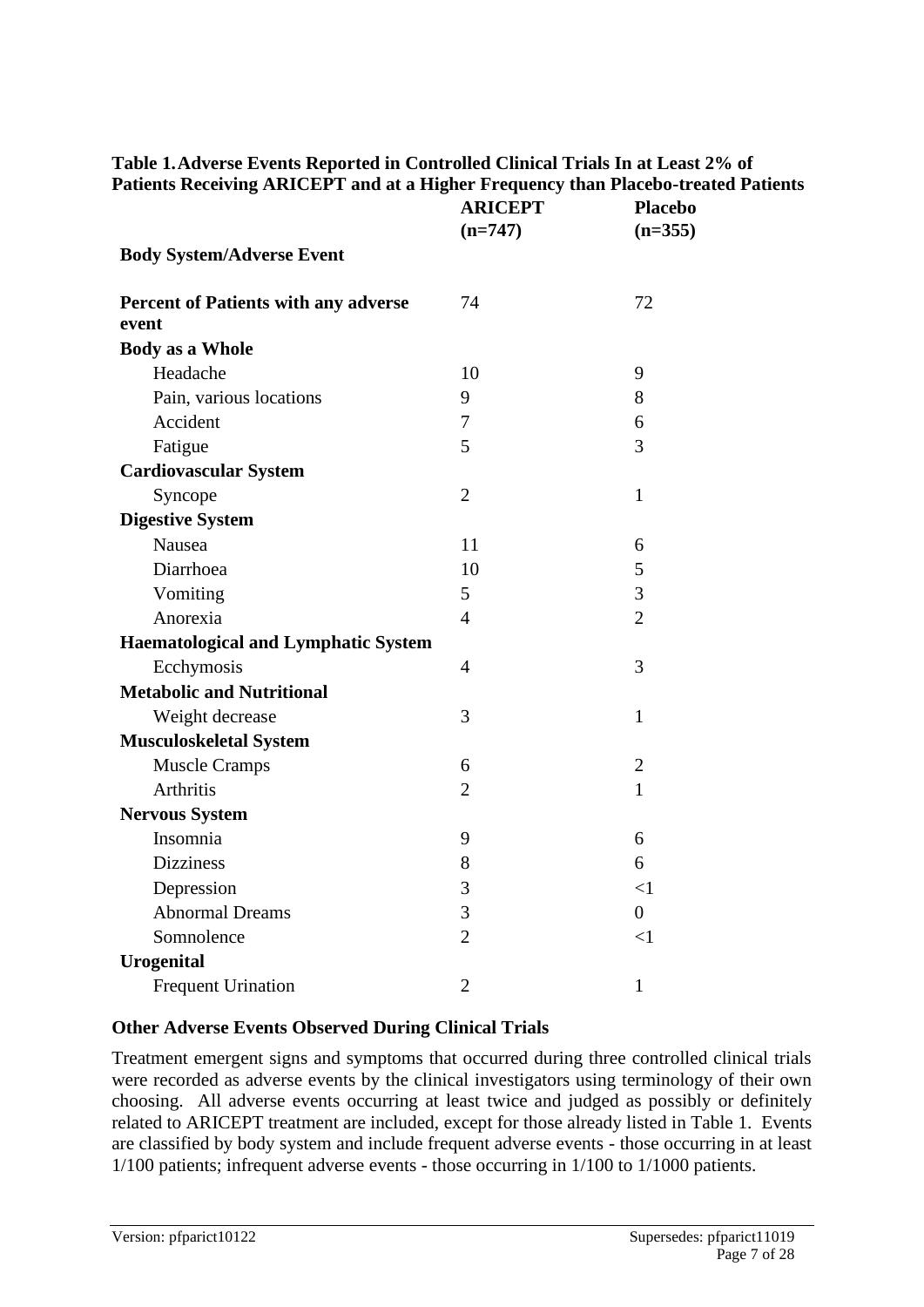|                                               | <b>ARICEPT</b><br>$(n=747)$ | <b>Placebo</b><br>$(n=355)$ |  |  |
|-----------------------------------------------|-----------------------------|-----------------------------|--|--|
| <b>Body System/Adverse Event</b>              |                             |                             |  |  |
| Percent of Patients with any adverse<br>event | 74                          | 72                          |  |  |
| <b>Body as a Whole</b>                        |                             |                             |  |  |
| Headache                                      | 10                          | 9                           |  |  |
| Pain, various locations                       | 9                           | 8                           |  |  |
| Accident                                      | 7                           | 6                           |  |  |
| Fatigue                                       | 5                           | 3                           |  |  |
| <b>Cardiovascular System</b>                  |                             |                             |  |  |
| Syncope                                       | $\overline{2}$              | $\mathbf{1}$                |  |  |
| <b>Digestive System</b>                       |                             |                             |  |  |
| Nausea                                        | 11                          | 6                           |  |  |
| Diarrhoea                                     | 10                          | 5                           |  |  |
| Vomiting                                      | 5                           | 3                           |  |  |
| Anorexia                                      | $\overline{4}$              | $\overline{2}$              |  |  |
| <b>Haematological and Lymphatic System</b>    |                             |                             |  |  |
| Ecchymosis                                    | $\overline{4}$              | 3                           |  |  |
| <b>Metabolic and Nutritional</b>              |                             |                             |  |  |
| Weight decrease                               | 3                           | $\mathbf{1}$                |  |  |
| <b>Musculoskeletal System</b>                 |                             |                             |  |  |
| <b>Muscle Cramps</b>                          | 6                           | $\overline{2}$              |  |  |
| <b>Arthritis</b>                              | $\overline{2}$              | $\mathbf{1}$                |  |  |
| <b>Nervous System</b>                         |                             |                             |  |  |
| Insomnia                                      | 9                           | 6                           |  |  |
| <b>Dizziness</b>                              | 8                           | 6                           |  |  |
| Depression                                    | 3                           | <1                          |  |  |
| <b>Abnormal Dreams</b>                        | 3                           | $\overline{0}$              |  |  |
| Somnolence                                    | $\overline{2}$              | $\leq$ 1                    |  |  |
| <b>Urogenital</b>                             |                             |                             |  |  |
| <b>Frequent Urination</b>                     | $\overline{2}$              | $\mathbf{1}$                |  |  |

### **Table 1.Adverse Events Reported in Controlled Clinical Trials In at Least 2% of Patients Receiving ARICEPT and at a Higher Frequency than Placebo-treated Patients**

#### **Other Adverse Events Observed During Clinical Trials**

Treatment emergent signs and symptoms that occurred during three controlled clinical trials were recorded as adverse events by the clinical investigators using terminology of their own choosing. All adverse events occurring at least twice and judged as possibly or definitely related to ARICEPT treatment are included, except for those already listed in Table 1. Events are classified by body system and include frequent adverse events - those occurring in at least 1/100 patients; infrequent adverse events - those occurring in 1/100 to 1/1000 patients.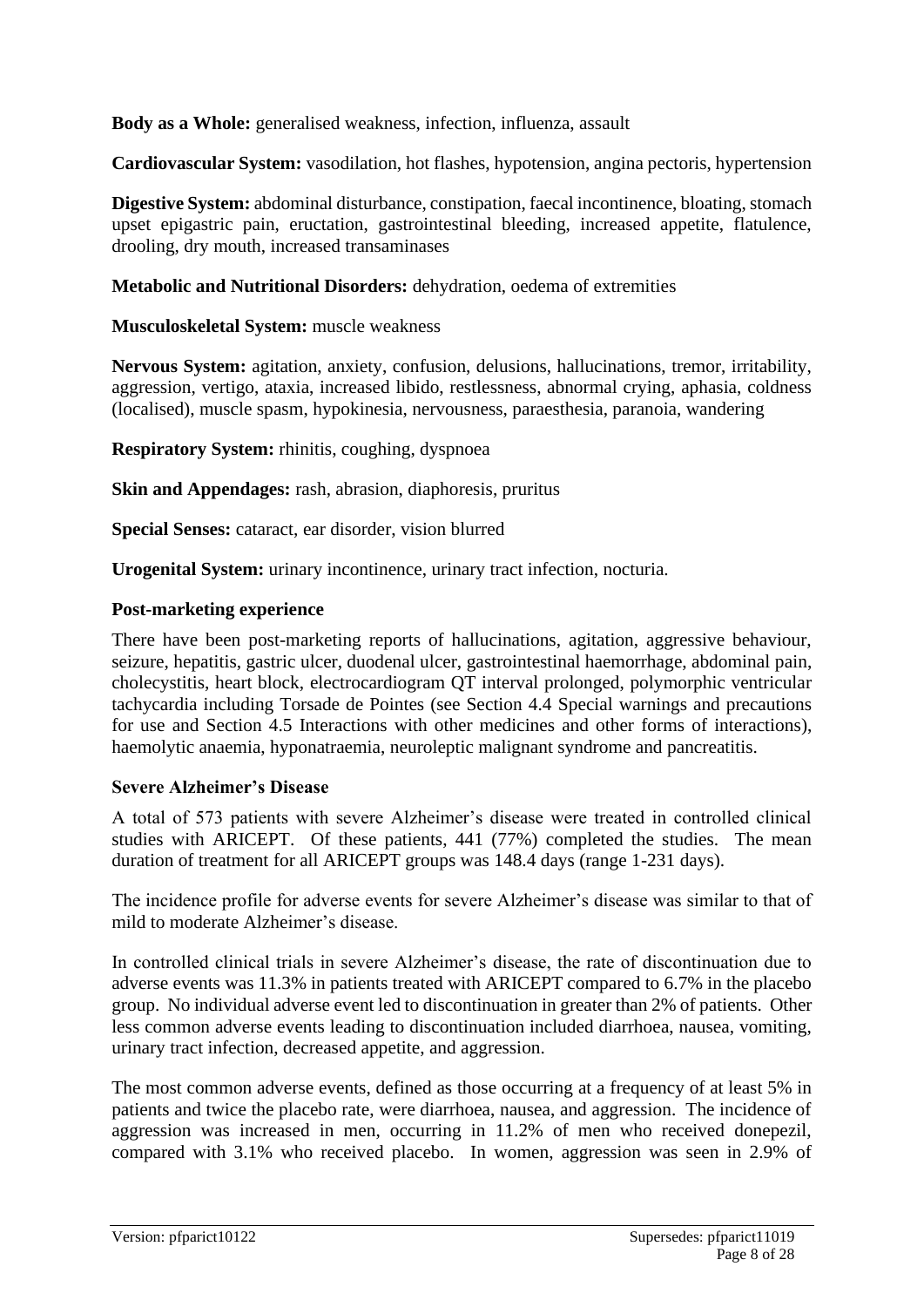**Body as a Whole:** generalised weakness, infection, influenza, assault

**Cardiovascular System:** vasodilation, hot flashes, hypotension, angina pectoris, hypertension

**Digestive System:** abdominal disturbance, constipation, faecal incontinence, bloating, stomach upset epigastric pain, eructation, gastrointestinal bleeding, increased appetite, flatulence, drooling, dry mouth, increased transaminases

**Metabolic and Nutritional Disorders:** dehydration, oedema of extremities

**Musculoskeletal System:** muscle weakness

**Nervous System:** agitation, anxiety, confusion, delusions, hallucinations, tremor, irritability, aggression, vertigo, ataxia, increased libido, restlessness, abnormal crying, aphasia, coldness (localised), muscle spasm, hypokinesia, nervousness, paraesthesia, paranoia, wandering

**Respiratory System:** rhinitis, coughing, dyspnoea

**Skin and Appendages:** rash, abrasion, diaphoresis, pruritus

**Special Senses:** cataract, ear disorder, vision blurred

**Urogenital System:** urinary incontinence, urinary tract infection, nocturia.

#### **Post-marketing experience**

There have been post-marketing reports of hallucinations, agitation, aggressive behaviour, seizure, hepatitis, gastric ulcer, duodenal ulcer, gastrointestinal haemorrhage, abdominal pain, cholecystitis, heart block, electrocardiogram QT interval prolonged, polymorphic ventricular tachycardia including Torsade de Pointes (see Section 4.4 Special warnings and precautions for use and Section 4.5 Interactions with other medicines and other forms of interactions), haemolytic anaemia, hyponatraemia, neuroleptic malignant syndrome and pancreatitis.

#### **Severe Alzheimer's Disease**

A total of 573 patients with severe Alzheimer's disease were treated in controlled clinical studies with ARICEPT. Of these patients, 441 (77%) completed the studies. The mean duration of treatment for all ARICEPT groups was 148.4 days (range 1-231 days).

The incidence profile for adverse events for severe Alzheimer's disease was similar to that of mild to moderate Alzheimer's disease.

In controlled clinical trials in severe Alzheimer's disease, the rate of discontinuation due to adverse events was 11.3% in patients treated with ARICEPT compared to 6.7% in the placebo group. No individual adverse event led to discontinuation in greater than 2% of patients. Other less common adverse events leading to discontinuation included diarrhoea, nausea, vomiting, urinary tract infection, decreased appetite, and aggression.

The most common adverse events, defined as those occurring at a frequency of at least 5% in patients and twice the placebo rate, were diarrhoea, nausea, and aggression. The incidence of aggression was increased in men, occurring in 11.2% of men who received donepezil, compared with 3.1% who received placebo. In women, aggression was seen in 2.9% of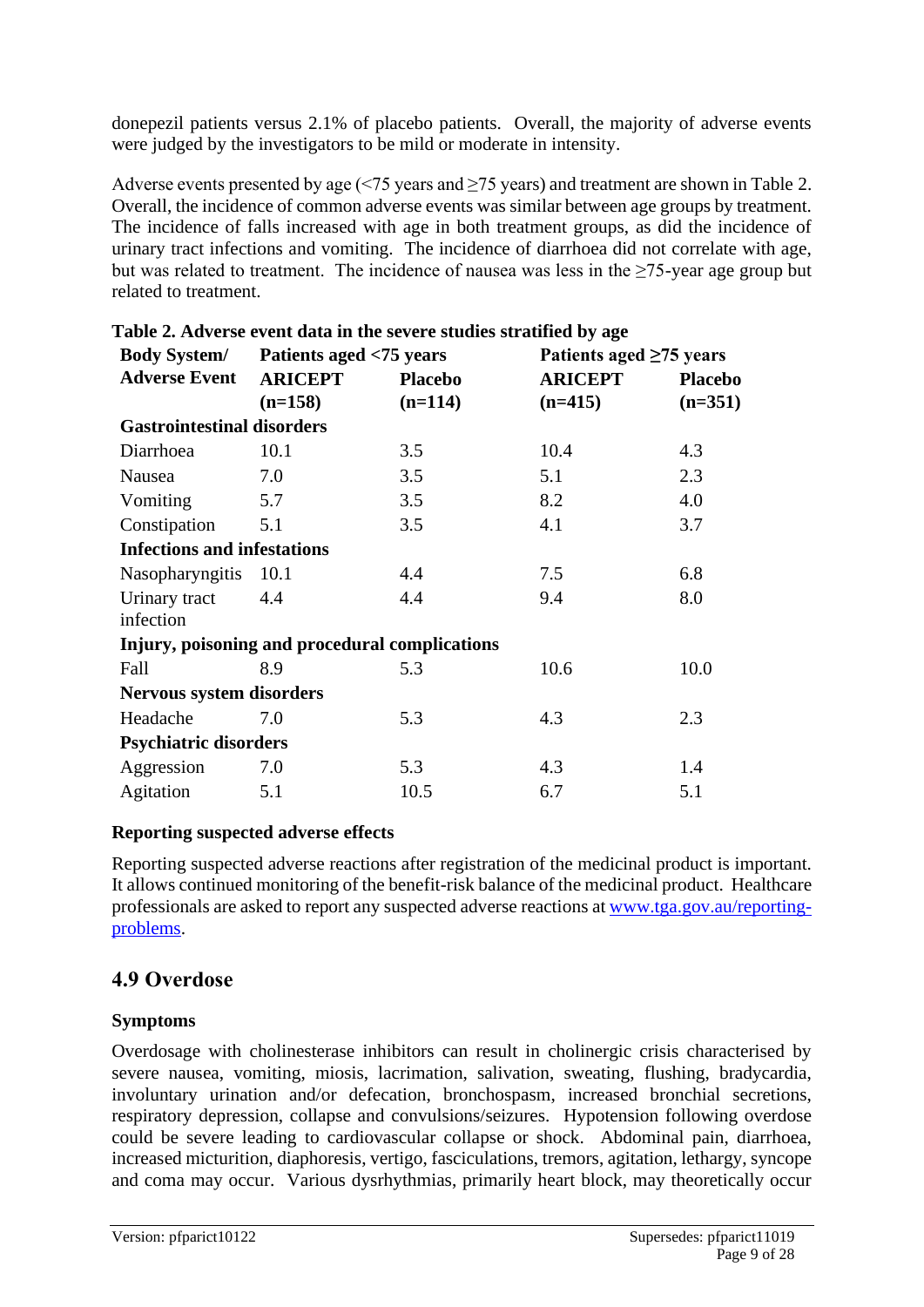donepezil patients versus 2.1% of placebo patients. Overall, the majority of adverse events were judged by the investigators to be mild or moderate in intensity.

Adverse events presented by age  $\left( \langle 75 \rangle \right)$  years and  $\geq 75$  years) and treatment are shown in Table 2. Overall, the incidence of common adverse events was similar between age groups by treatment. The incidence of falls increased with age in both treatment groups, as did the incidence of urinary tract infections and vomiting. The incidence of diarrhoea did not correlate with age, but was related to treatment. The incidence of nausea was less in the  $\geq$ 75-year age group but related to treatment.

| <b>Body System/</b>                | Patients aged <75 years |                                                | Patients aged $\geq 75$ years |                |
|------------------------------------|-------------------------|------------------------------------------------|-------------------------------|----------------|
| <b>Adverse Event</b>               | <b>ARICEPT</b>          | <b>Placebo</b>                                 | <b>ARICEPT</b>                | <b>Placebo</b> |
|                                    | $(n=158)$               | $(n=114)$                                      | $(n=415)$                     | $(n=351)$      |
| <b>Gastrointestinal disorders</b>  |                         |                                                |                               |                |
| Diarrhoea                          | 10.1                    | 3.5                                            | 10.4                          | 4.3            |
| Nausea                             | 7.0                     | 3.5                                            | 5.1                           | 2.3            |
| Vomiting                           | 5.7                     | 3.5                                            | 8.2                           | 4.0            |
| Constipation                       | 5.1                     | 3.5                                            | 4.1                           | 3.7            |
| <b>Infections and infestations</b> |                         |                                                |                               |                |
| Nasopharyngitis 10.1               |                         | 4.4                                            | 7.5                           | 6.8            |
| Urinary tract                      | 4.4                     | 4.4                                            | 9.4                           | 8.0            |
| infection                          |                         |                                                |                               |                |
|                                    |                         | Injury, poisoning and procedural complications |                               |                |
| Fall                               | 8.9                     | 5.3                                            | 10.6                          | 10.0           |
| <b>Nervous system disorders</b>    |                         |                                                |                               |                |
| Headache                           | 7.0                     | 5.3                                            | 4.3                           | 2.3            |
| <b>Psychiatric disorders</b>       |                         |                                                |                               |                |
| Aggression                         | 7.0                     | 5.3                                            | 4.3                           | 1.4            |
| Agitation                          | 5.1                     | 10.5                                           | 6.7                           | 5.1            |

**Table 2. Adverse event data in the severe studies stratified by age**

#### **Reporting suspected adverse effects**

Reporting suspected adverse reactions after registration of the medicinal product is important. It allows continued monitoring of the benefit-risk balance of the medicinal product. Healthcare professionals are asked to report any suspected adverse reactions at [www.tga.gov.au/reporting](http://www.tga.gov.au/reporting-problems)[problems.](http://www.tga.gov.au/reporting-problems)

### **4.9 Overdose**

### **Symptoms**

Overdosage with cholinesterase inhibitors can result in cholinergic crisis characterised by severe nausea, vomiting, miosis, lacrimation, salivation, sweating, flushing, bradycardia, involuntary urination and/or defecation, bronchospasm, increased bronchial secretions, respiratory depression, collapse and convulsions/seizures. Hypotension following overdose could be severe leading to cardiovascular collapse or shock. Abdominal pain, diarrhoea, increased micturition, diaphoresis, vertigo, fasciculations, tremors, agitation, lethargy, syncope and coma may occur. Various dysrhythmias, primarily heart block, may theoretically occur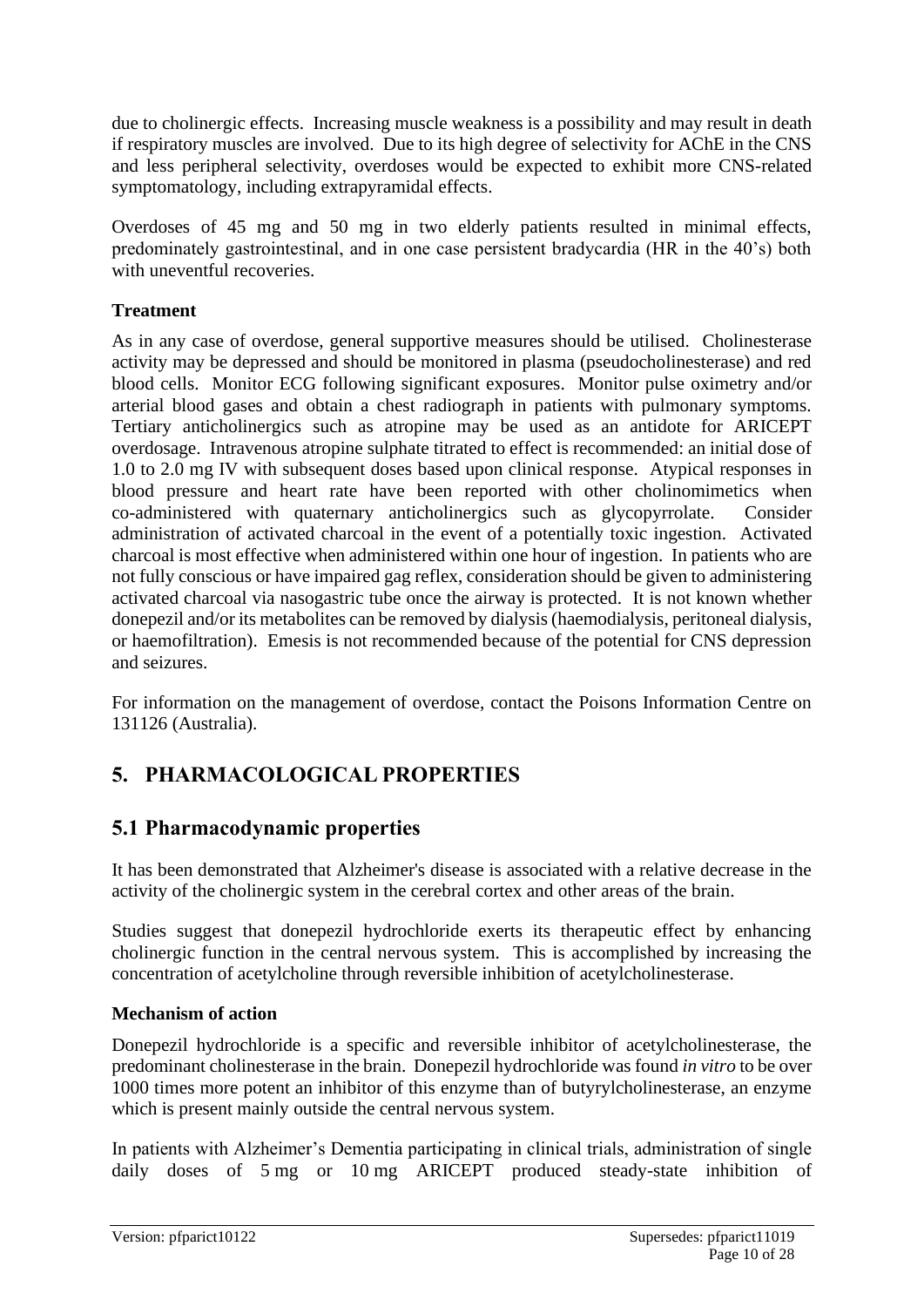due to cholinergic effects. Increasing muscle weakness is a possibility and may result in death if respiratory muscles are involved. Due to its high degree of selectivity for AChE in the CNS and less peripheral selectivity, overdoses would be expected to exhibit more CNS-related symptomatology, including extrapyramidal effects.

Overdoses of 45 mg and 50 mg in two elderly patients resulted in minimal effects, predominately gastrointestinal, and in one case persistent bradycardia (HR in the 40's) both with uneventful recoveries.

### **Treatment**

As in any case of overdose, general supportive measures should be utilised. Cholinesterase activity may be depressed and should be monitored in plasma (pseudocholinesterase) and red blood cells. Monitor ECG following significant exposures. Monitor pulse oximetry and/or arterial blood gases and obtain a chest radiograph in patients with pulmonary symptoms. Tertiary anticholinergics such as atropine may be used as an antidote for ARICEPT overdosage. Intravenous atropine sulphate titrated to effect is recommended: an initial dose of 1.0 to 2.0 mg IV with subsequent doses based upon clinical response. Atypical responses in blood pressure and heart rate have been reported with other cholinomimetics when co-administered with quaternary anticholinergics such as glycopyrrolate. Consider administration of activated charcoal in the event of a potentially toxic ingestion. Activated charcoal is most effective when administered within one hour of ingestion. In patients who are not fully conscious or have impaired gag reflex, consideration should be given to administering activated charcoal via nasogastric tube once the airway is protected. It is not known whether donepezil and/or its metabolites can be removed by dialysis (haemodialysis, peritoneal dialysis, or haemofiltration). Emesis is not recommended because of the potential for CNS depression and seizures.

For information on the management of overdose, contact the Poisons Information Centre on 131126 (Australia).

# **5. PHARMACOLOGICAL PROPERTIES**

# **5.1 Pharmacodynamic properties**

It has been demonstrated that Alzheimer's disease is associated with a relative decrease in the activity of the cholinergic system in the cerebral cortex and other areas of the brain.

Studies suggest that donepezil hydrochloride exerts its therapeutic effect by enhancing cholinergic function in the central nervous system. This is accomplished by increasing the concentration of acetylcholine through reversible inhibition of acetylcholinesterase.

### **Mechanism of action**

Donepezil hydrochloride is a specific and reversible inhibitor of acetylcholinesterase, the predominant cholinesterase in the brain. Donepezil hydrochloride was found *in vitro* to be over 1000 times more potent an inhibitor of this enzyme than of butyrylcholinesterase, an enzyme which is present mainly outside the central nervous system.

In patients with Alzheimer's Dementia participating in clinical trials, administration of single daily doses of 5 mg or 10 mg ARICEPT produced steady-state inhibition of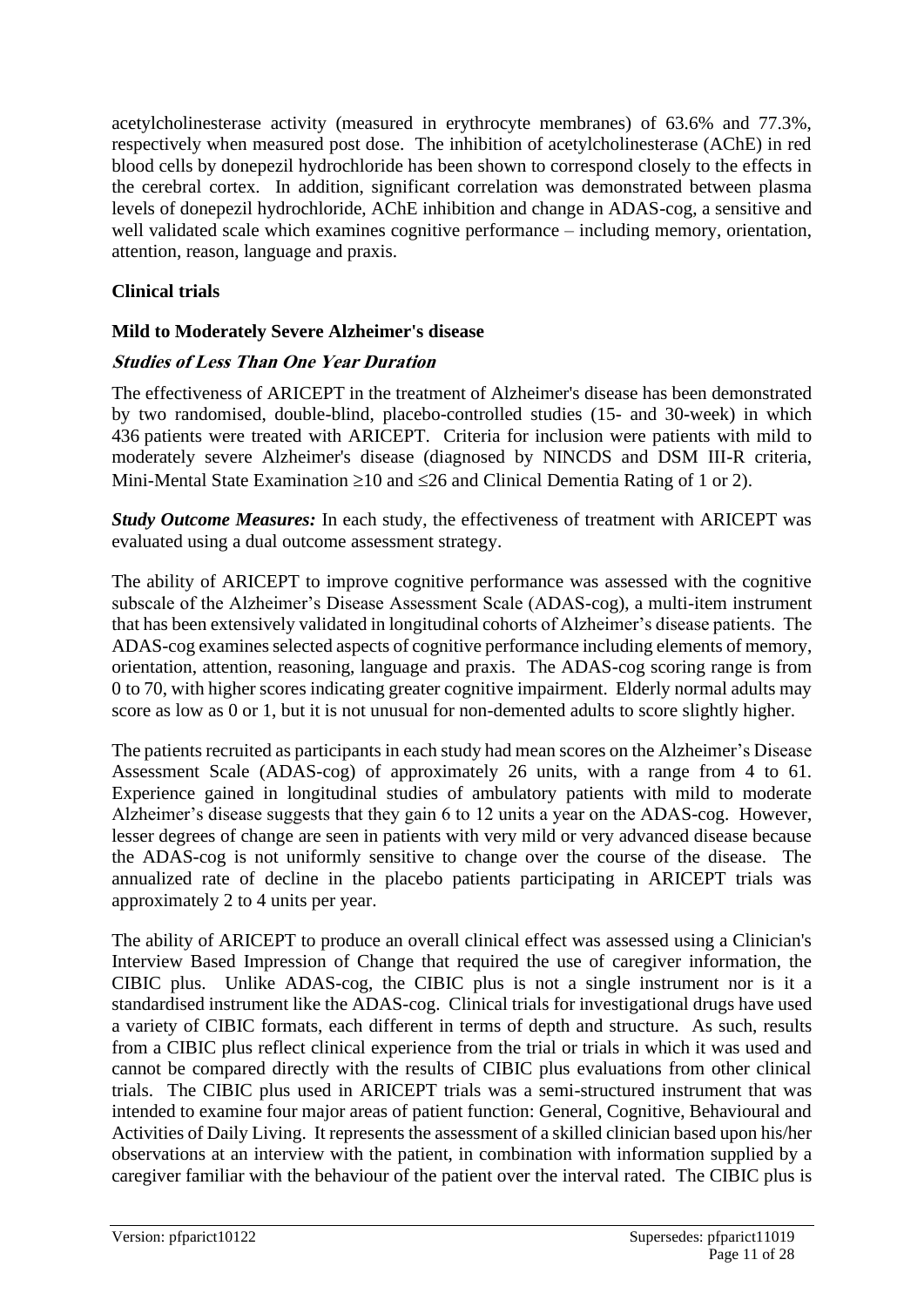acetylcholinesterase activity (measured in erythrocyte membranes) of 63.6% and 77.3%, respectively when measured post dose. The inhibition of acetylcholinesterase (AChE) in red blood cells by donepezil hydrochloride has been shown to correspond closely to the effects in the cerebral cortex. In addition, significant correlation was demonstrated between plasma levels of donepezil hydrochloride, AChE inhibition and change in ADAS-cog, a sensitive and well validated scale which examines cognitive performance – including memory, orientation, attention, reason, language and praxis.

### **Clinical trials**

### **Mild to Moderately Severe Alzheimer's disease**

### **Studies of Less Than One Year Duration**

The effectiveness of ARICEPT in the treatment of Alzheimer's disease has been demonstrated by two randomised, double-blind, placebo-controlled studies (15- and 30-week) in which 436 patients were treated with ARICEPT. Criteria for inclusion were patients with mild to moderately severe Alzheimer's disease (diagnosed by NINCDS and DSM III-R criteria, Mini-Mental State Examination  $\geq 10$  and  $\leq 26$  and Clinical Dementia Rating of 1 or 2).

*Study Outcome Measures:* In each study, the effectiveness of treatment with ARICEPT was evaluated using a dual outcome assessment strategy.

The ability of ARICEPT to improve cognitive performance was assessed with the cognitive subscale of the Alzheimer's Disease Assessment Scale (ADAS-cog), a multi-item instrument that has been extensively validated in longitudinal cohorts of Alzheimer's disease patients. The ADAS-cog examines selected aspects of cognitive performance including elements of memory, orientation, attention, reasoning, language and praxis. The ADAS-cog scoring range is from 0 to 70, with higher scores indicating greater cognitive impairment. Elderly normal adults may score as low as 0 or 1, but it is not unusual for non-demented adults to score slightly higher.

The patients recruited as participants in each study had mean scores on the Alzheimer's Disease Assessment Scale (ADAS-cog) of approximately 26 units, with a range from 4 to 61. Experience gained in longitudinal studies of ambulatory patients with mild to moderate Alzheimer's disease suggests that they gain 6 to 12 units a year on the ADAS-cog. However, lesser degrees of change are seen in patients with very mild or very advanced disease because the ADAS-cog is not uniformly sensitive to change over the course of the disease. The annualized rate of decline in the placebo patients participating in ARICEPT trials was approximately 2 to 4 units per year.

The ability of ARICEPT to produce an overall clinical effect was assessed using a Clinician's Interview Based Impression of Change that required the use of caregiver information, the CIBIC plus. Unlike ADAS-cog, the CIBIC plus is not a single instrument nor is it a standardised instrument like the ADAS-cog. Clinical trials for investigational drugs have used a variety of CIBIC formats, each different in terms of depth and structure. As such, results from a CIBIC plus reflect clinical experience from the trial or trials in which it was used and cannot be compared directly with the results of CIBIC plus evaluations from other clinical trials. The CIBIC plus used in ARICEPT trials was a semi-structured instrument that was intended to examine four major areas of patient function: General, Cognitive, Behavioural and Activities of Daily Living. It represents the assessment of a skilled clinician based upon his/her observations at an interview with the patient, in combination with information supplied by a caregiver familiar with the behaviour of the patient over the interval rated. The CIBIC plus is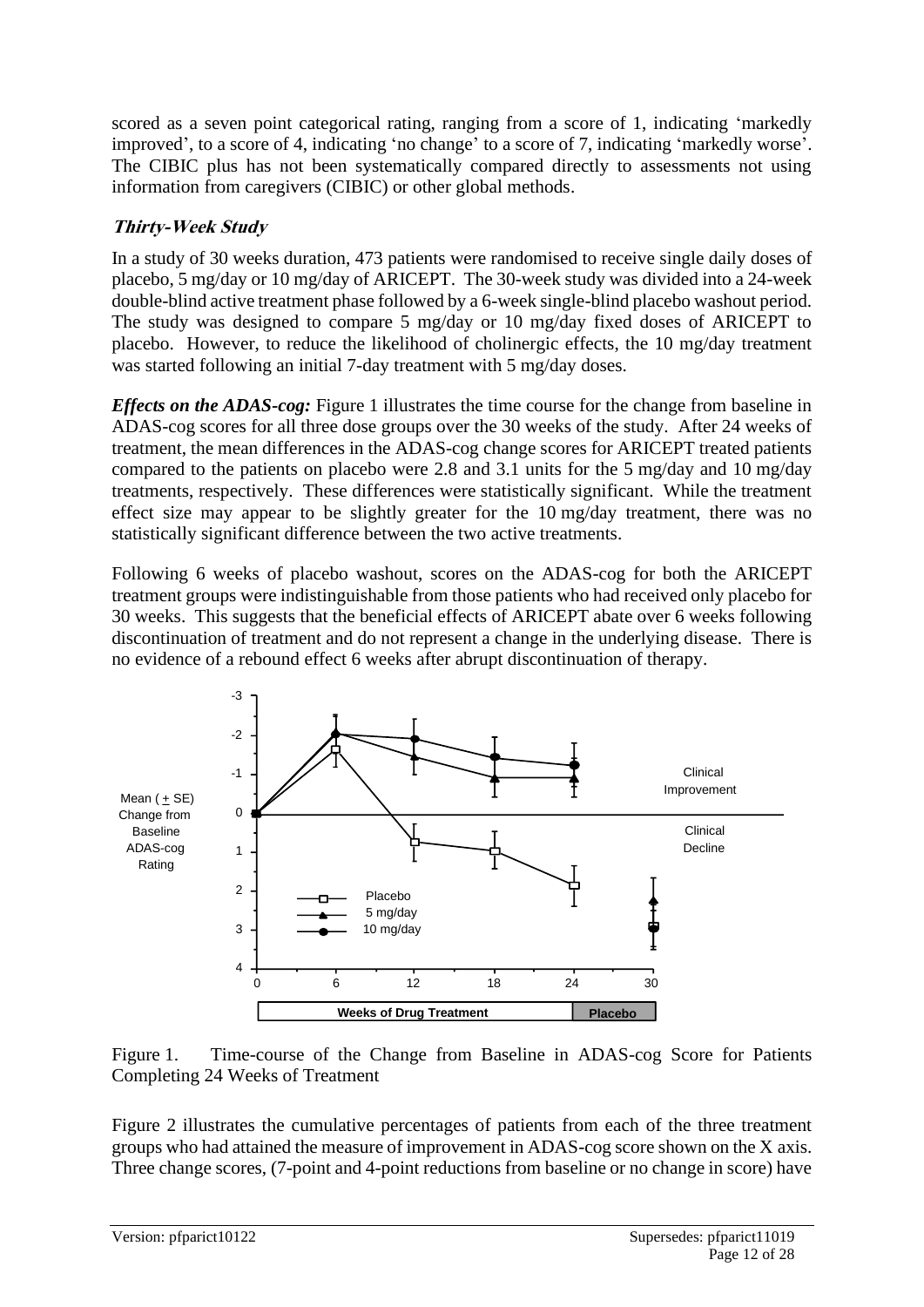scored as a seven point categorical rating, ranging from a score of 1, indicating 'markedly improved', to a score of 4, indicating 'no change' to a score of 7, indicating 'markedly worse'. The CIBIC plus has not been systematically compared directly to assessments not using information from caregivers (CIBIC) or other global methods.

### **Thirty-Week Study**

In a study of 30 weeks duration, 473 patients were randomised to receive single daily doses of placebo, 5 mg/day or 10 mg/day of ARICEPT. The 30-week study was divided into a 24-week double-blind active treatment phase followed by a 6-week single-blind placebo washout period. The study was designed to compare 5 mg/day or 10 mg/day fixed doses of ARICEPT to placebo. However, to reduce the likelihood of cholinergic effects, the 10 mg/day treatment was started following an initial 7-day treatment with 5 mg/day doses.

*Effects on the ADAS-cog:* Figure 1 illustrates the time course for the change from baseline in ADAS-cog scores for all three dose groups over the 30 weeks of the study. After 24 weeks of treatment, the mean differences in the ADAS-cog change scores for ARICEPT treated patients compared to the patients on placebo were 2.8 and 3.1 units for the 5 mg/day and 10 mg/day treatments, respectively. These differences were statistically significant. While the treatment effect size may appear to be slightly greater for the 10 mg/day treatment, there was no statistically significant difference between the two active treatments.

Following 6 weeks of placebo washout, scores on the ADAS-cog for both the ARICEPT treatment groups were indistinguishable from those patients who had received only placebo for 30 weeks. This suggests that the beneficial effects of ARICEPT abate over 6 weeks following discontinuation of treatment and do not represent a change in the underlying disease. There is no evidence of a rebound effect 6 weeks after abrupt discontinuation of therapy.





Figure 2 illustrates the cumulative percentages of patients from each of the three treatment groups who had attained the measure of improvement in ADAS-cog score shown on the X axis. Three change scores, (7-point and 4-point reductions from baseline or no change in score) have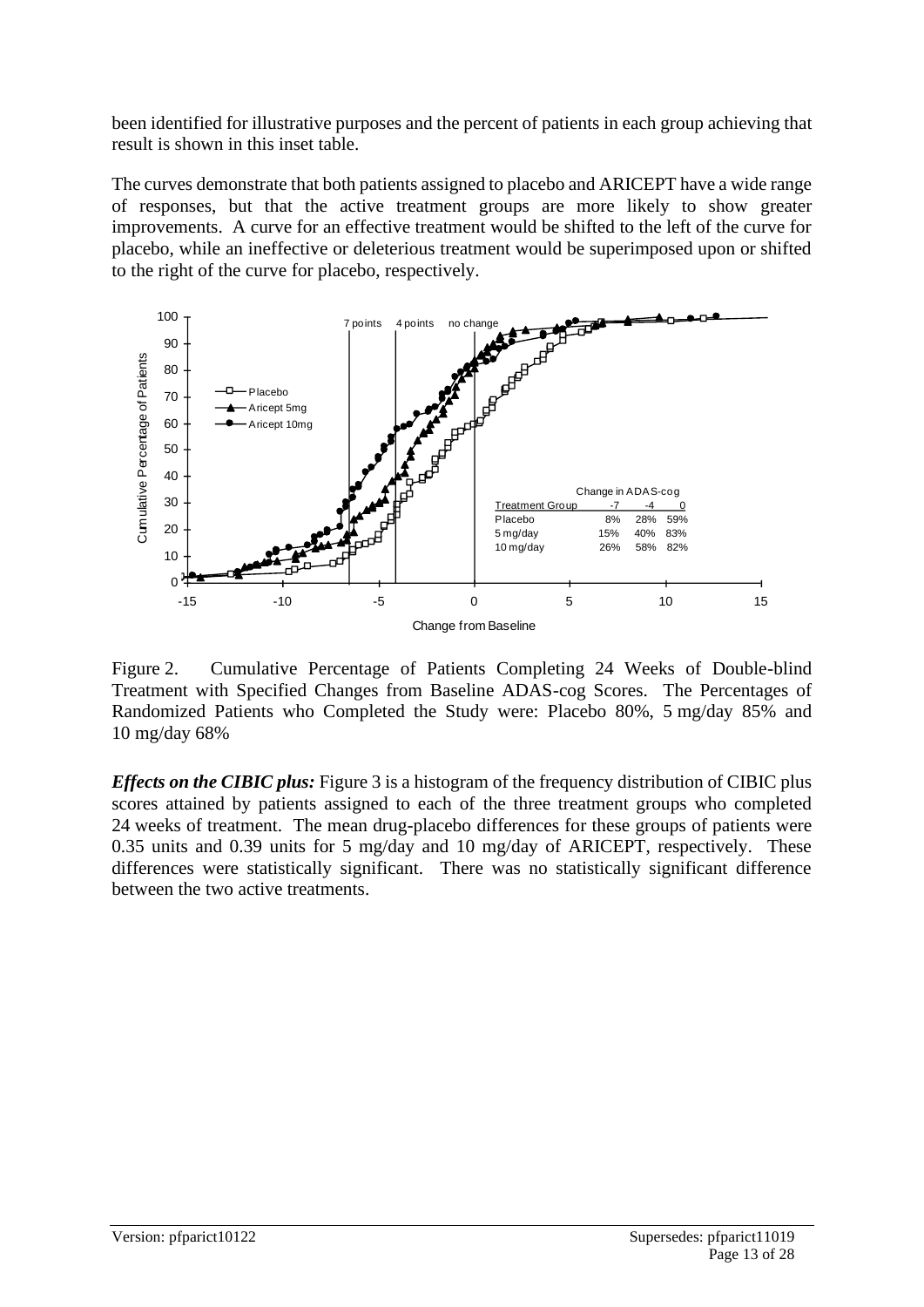been identified for illustrative purposes and the percent of patients in each group achieving that result is shown in this inset table.

The curves demonstrate that both patients assigned to placebo and ARICEPT have a wide range of responses, but that the active treatment groups are more likely to show greater improvements. A curve for an effective treatment would be shifted to the left of the curve for placebo, while an ineffective or deleterious treatment would be superimposed upon or shifted to the right of the curve for placebo, respectively.



Figure 2. Cumulative Percentage of Patients Completing 24 Weeks of Double-blind Treatment with Specified Changes from Baseline ADAS-cog Scores. The Percentages of Randomized Patients who Completed the Study were: Placebo 80%, 5 mg/day 85% and 10 mg/day 68%

*Effects on the CIBIC plus:* Figure 3 is a histogram of the frequency distribution of CIBIC plus scores attained by patients assigned to each of the three treatment groups who completed 24 weeks of treatment. The mean drug-placebo differences for these groups of patients were 0.35 units and 0.39 units for 5 mg/day and 10 mg/day of ARICEPT, respectively. These differences were statistically significant. There was no statistically significant difference between the two active treatments.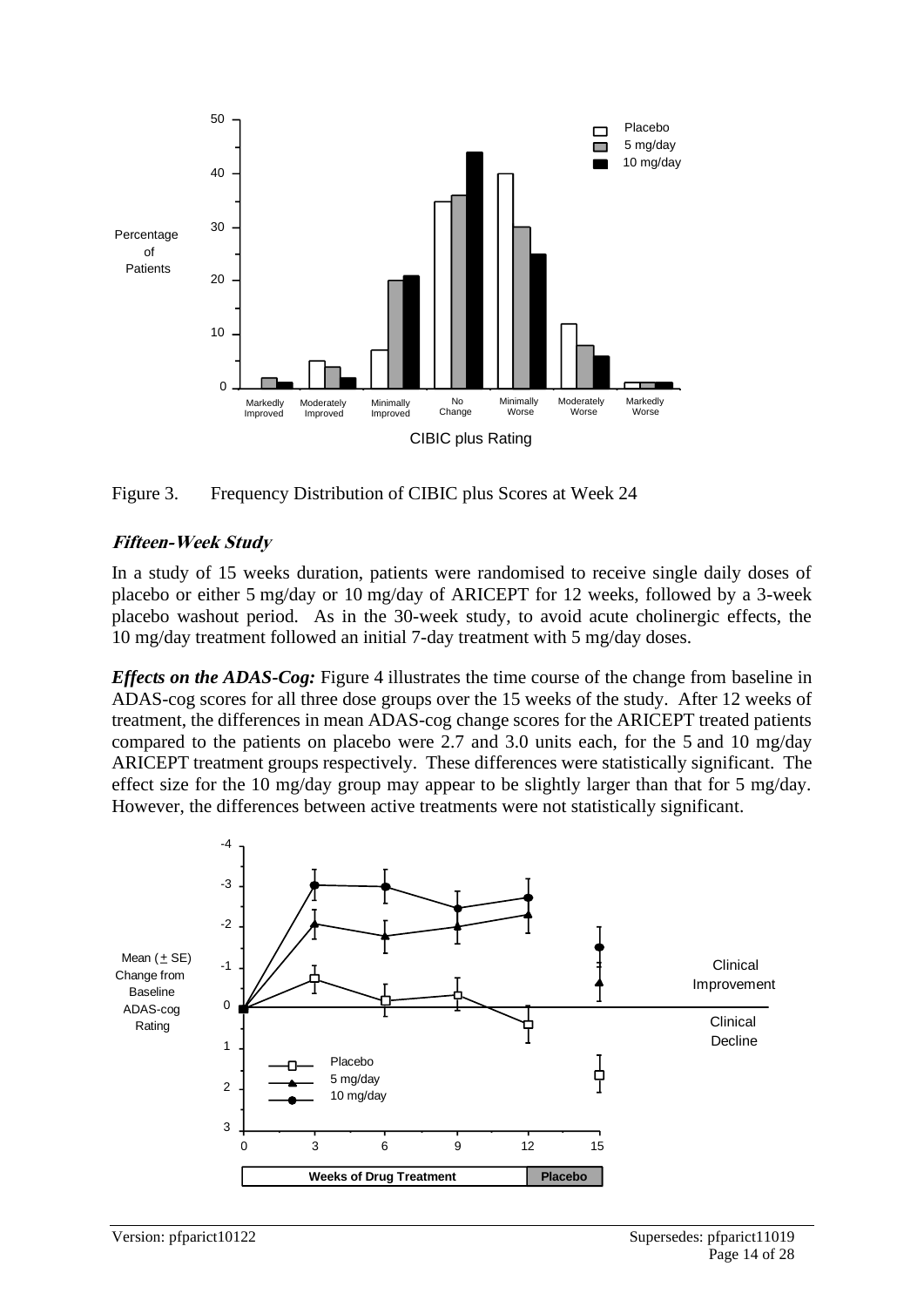



#### **Fifteen-Week Study**

In a study of 15 weeks duration, patients were randomised to receive single daily doses of placebo or either 5 mg/day or 10 mg/day of ARICEPT for 12 weeks, followed by a 3-week placebo washout period. As in the 30-week study, to avoid acute cholinergic effects, the 10 mg/day treatment followed an initial 7-day treatment with 5 mg/day doses.

*Effects on the ADAS-Cog:* Figure 4 illustrates the time course of the change from baseline in ADAS-cog scores for all three dose groups over the 15 weeks of the study. After 12 weeks of treatment, the differences in mean ADAS-cog change scores for the ARICEPT treated patients compared to the patients on placebo were 2.7 and 3.0 units each, for the 5 and 10 mg/day ARICEPT treatment groups respectively. These differences were statistically significant. The effect size for the 10 mg/day group may appear to be slightly larger than that for 5 mg/day. However, the differences between active treatments were not statistically significant.

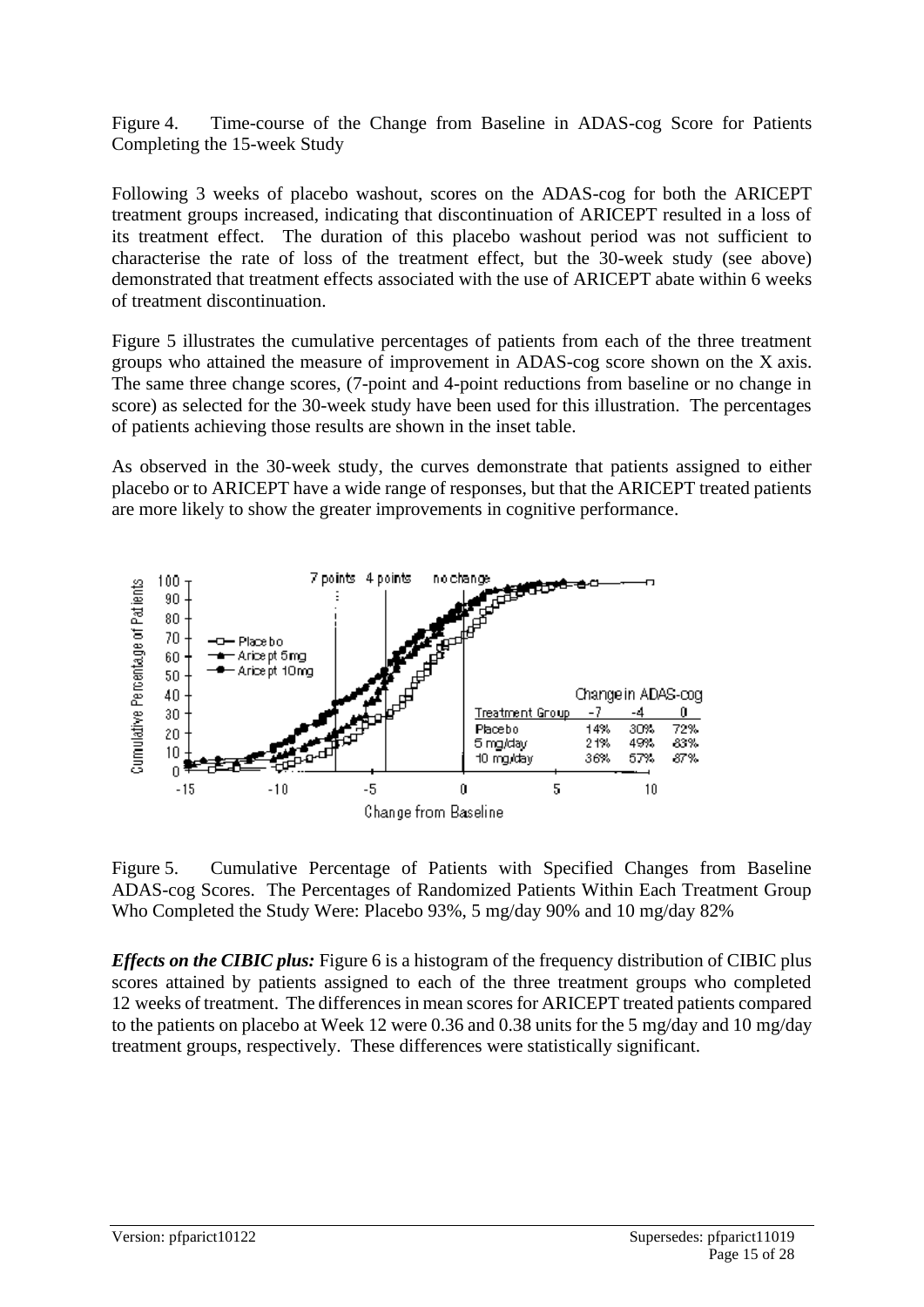Figure 4. Time-course of the Change from Baseline in ADAS-cog Score for Patients Completing the 15-week Study

Following 3 weeks of placebo washout, scores on the ADAS-cog for both the ARICEPT treatment groups increased, indicating that discontinuation of ARICEPT resulted in a loss of its treatment effect. The duration of this placebo washout period was not sufficient to characterise the rate of loss of the treatment effect, but the 30-week study (see above) demonstrated that treatment effects associated with the use of ARICEPT abate within 6 weeks of treatment discontinuation.

Figure 5 illustrates the cumulative percentages of patients from each of the three treatment groups who attained the measure of improvement in ADAS-cog score shown on the X axis. The same three change scores, (7-point and 4-point reductions from baseline or no change in score) as selected for the 30-week study have been used for this illustration. The percentages of patients achieving those results are shown in the inset table.

As observed in the 30-week study, the curves demonstrate that patients assigned to either placebo or to ARICEPT have a wide range of responses, but that the ARICEPT treated patients are more likely to show the greater improvements in cognitive performance.



Figure 5. Cumulative Percentage of Patients with Specified Changes from Baseline ADAS-cog Scores. The Percentages of Randomized Patients Within Each Treatment Group Who Completed the Study Were: Placebo 93%, 5 mg/day 90% and 10 mg/day 82%

*Effects on the CIBIC plus:* Figure 6 is a histogram of the frequency distribution of CIBIC plus scores attained by patients assigned to each of the three treatment groups who completed 12 weeks of treatment. The differences in mean scores for ARICEPT treated patients compared to the patients on placebo at Week 12 were 0.36 and 0.38 units for the 5 mg/day and 10 mg/day treatment groups, respectively. These differences were statistically significant.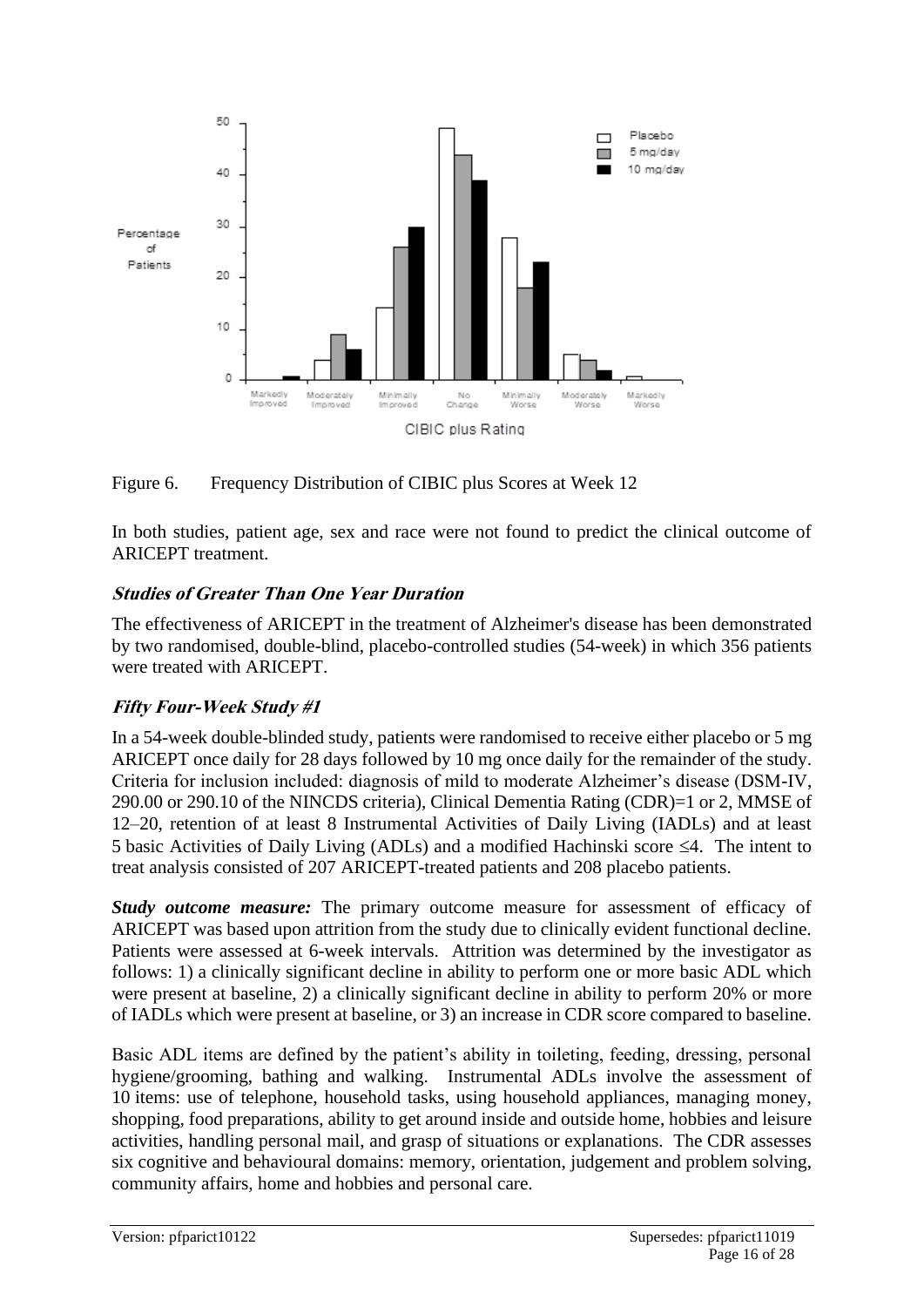

Figure 6. Frequency Distribution of CIBIC plus Scores at Week 12

In both studies, patient age, sex and race were not found to predict the clinical outcome of ARICEPT treatment.

### **Studies of Greater Than One Year Duration**

The effectiveness of ARICEPT in the treatment of Alzheimer's disease has been demonstrated by two randomised, double-blind, placebo-controlled studies (54-week) in which 356 patients were treated with ARICEPT.

### **Fifty Four-Week Study #1**

In a 54-week double-blinded study, patients were randomised to receive either placebo or 5 mg ARICEPT once daily for 28 days followed by 10 mg once daily for the remainder of the study. Criteria for inclusion included: diagnosis of mild to moderate Alzheimer's disease (DSM-IV, 290.00 or 290.10 of the NINCDS criteria), Clinical Dementia Rating (CDR)=1 or 2, MMSE of 12–20, retention of at least 8 Instrumental Activities of Daily Living (IADLs) and at least 5 basic Activities of Daily Living (ADLs) and a modified Hachinski score  $\leq 4$ . The intent to treat analysis consisted of 207 ARICEPT-treated patients and 208 placebo patients.

*Study outcome measure:* The primary outcome measure for assessment of efficacy of ARICEPT was based upon attrition from the study due to clinically evident functional decline. Patients were assessed at 6-week intervals. Attrition was determined by the investigator as follows: 1) a clinically significant decline in ability to perform one or more basic ADL which were present at baseline, 2) a clinically significant decline in ability to perform 20% or more of IADLs which were present at baseline, or 3) an increase in CDR score compared to baseline.

Basic ADL items are defined by the patient's ability in toileting, feeding, dressing, personal hygiene/grooming, bathing and walking. Instrumental ADLs involve the assessment of 10 items: use of telephone, household tasks, using household appliances, managing money, shopping, food preparations, ability to get around inside and outside home, hobbies and leisure activities, handling personal mail, and grasp of situations or explanations. The CDR assesses six cognitive and behavioural domains: memory, orientation, judgement and problem solving, community affairs, home and hobbies and personal care.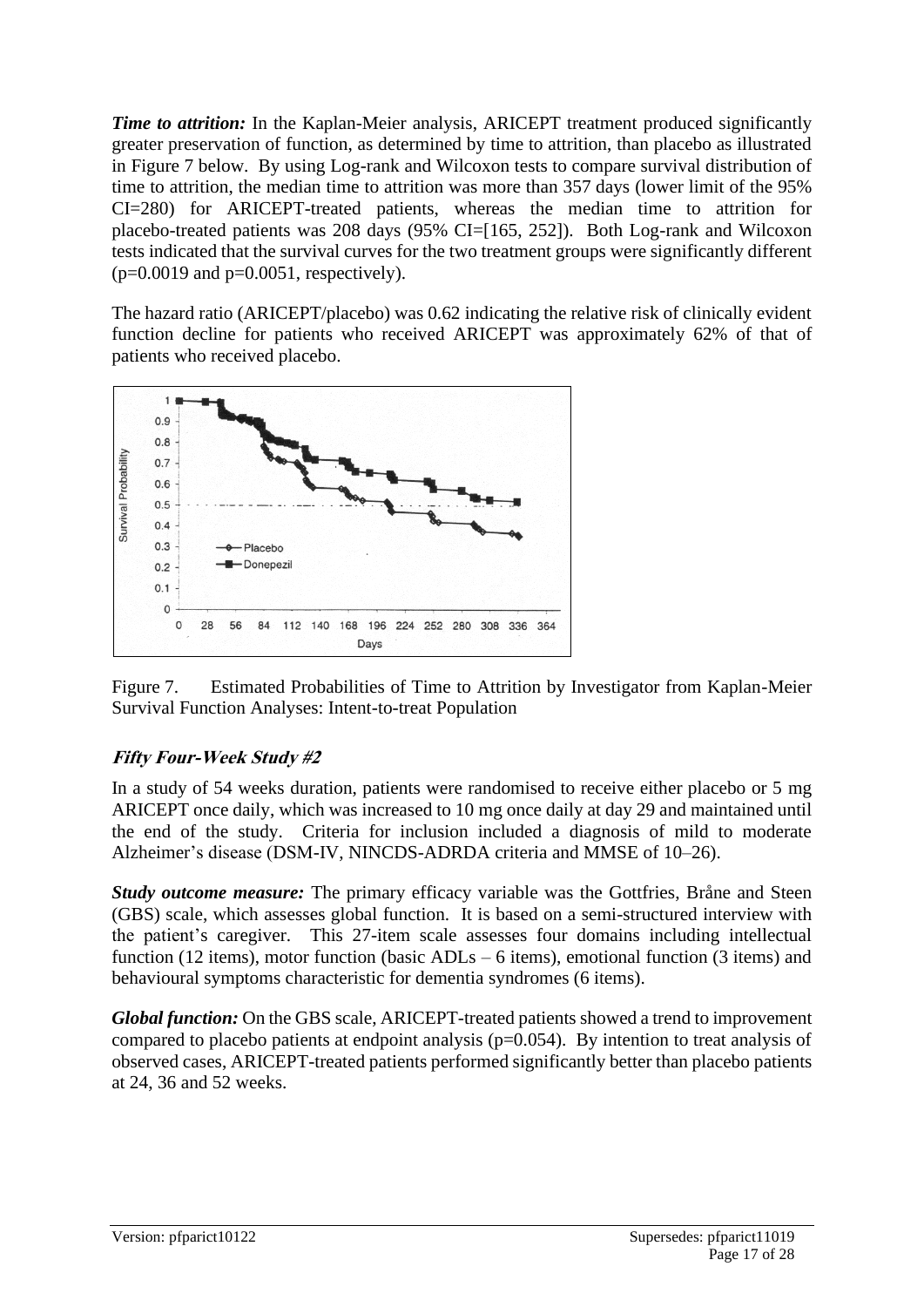*Time to attrition:* In the Kaplan-Meier analysis, ARICEPT treatment produced significantly greater preservation of function, as determined by time to attrition, than placebo as illustrated in Figure 7 below. By using Log-rank and Wilcoxon tests to compare survival distribution of time to attrition, the median time to attrition was more than 357 days (lower limit of the 95% CI=280) for ARICEPT-treated patients, whereas the median time to attrition for placebo-treated patients was 208 days (95% CI=[165, 252]). Both Log-rank and Wilcoxon tests indicated that the survival curves for the two treatment groups were significantly different  $(p=0.0019$  and  $p=0.0051$ , respectively).

The hazard ratio (ARICEPT/placebo) was 0.62 indicating the relative risk of clinically evident function decline for patients who received ARICEPT was approximately 62% of that of patients who received placebo.



Figure 7. Estimated Probabilities of Time to Attrition by Investigator from Kaplan-Meier Survival Function Analyses: Intent-to-treat Population

### **Fifty Four-Week Study #2**

In a study of 54 weeks duration, patients were randomised to receive either placebo or 5 mg ARICEPT once daily, which was increased to 10 mg once daily at day 29 and maintained until the end of the study. Criteria for inclusion included a diagnosis of mild to moderate Alzheimer's disease (DSM-IV, NINCDS-ADRDA criteria and MMSE of 10–26).

*Study outcome measure:* The primary efficacy variable was the Gottfries, Bråne and Steen (GBS) scale, which assesses global function. It is based on a semi-structured interview with the patient's caregiver. This 27-item scale assesses four domains including intellectual function (12 items), motor function (basic  $ADLs - 6$  items), emotional function (3 items) and behavioural symptoms characteristic for dementia syndromes (6 items).

*Global function:* On the GBS scale, ARICEPT-treated patients showed a trend to improvement compared to placebo patients at endpoint analysis (p=0.054). By intention to treat analysis of observed cases, ARICEPT-treated patients performed significantly better than placebo patients at 24, 36 and 52 weeks.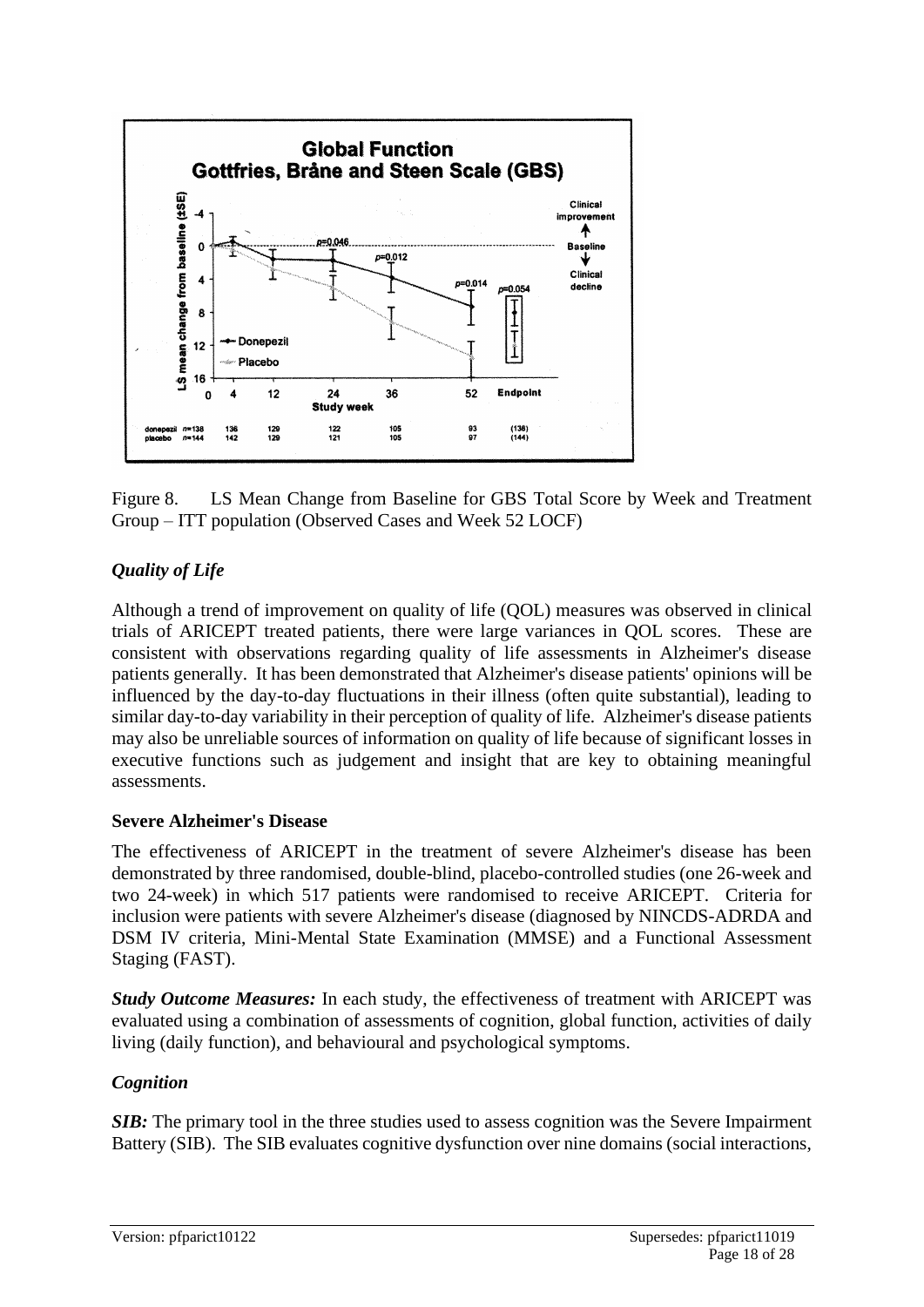

Figure 8. LS Mean Change from Baseline for GBS Total Score by Week and Treatment Group – ITT population (Observed Cases and Week 52 LOCF)

### *Quality of Life*

Although a trend of improvement on quality of life (QOL) measures was observed in clinical trials of ARICEPT treated patients, there were large variances in QOL scores. These are consistent with observations regarding quality of life assessments in Alzheimer's disease patients generally. It has been demonstrated that Alzheimer's disease patients' opinions will be influenced by the day-to-day fluctuations in their illness (often quite substantial), leading to similar day-to-day variability in their perception of quality of life. Alzheimer's disease patients may also be unreliable sources of information on quality of life because of significant losses in executive functions such as judgement and insight that are key to obtaining meaningful assessments.

#### **Severe Alzheimer's Disease**

The effectiveness of ARICEPT in the treatment of severe Alzheimer's disease has been demonstrated by three randomised, double-blind, placebo-controlled studies (one 26-week and two 24-week) in which 517 patients were randomised to receive ARICEPT. Criteria for inclusion were patients with severe Alzheimer's disease (diagnosed by NINCDS-ADRDA and DSM IV criteria, Mini-Mental State Examination (MMSE) and a Functional Assessment Staging (FAST).

*Study Outcome Measures:* In each study, the effectiveness of treatment with ARICEPT was evaluated using a combination of assessments of cognition, global function, activities of daily living (daily function), and behavioural and psychological symptoms.

### *Cognition*

*SIB*: The primary tool in the three studies used to assess cognition was the Severe Impairment Battery (SIB). The SIB evaluates cognitive dysfunction over nine domains (social interactions,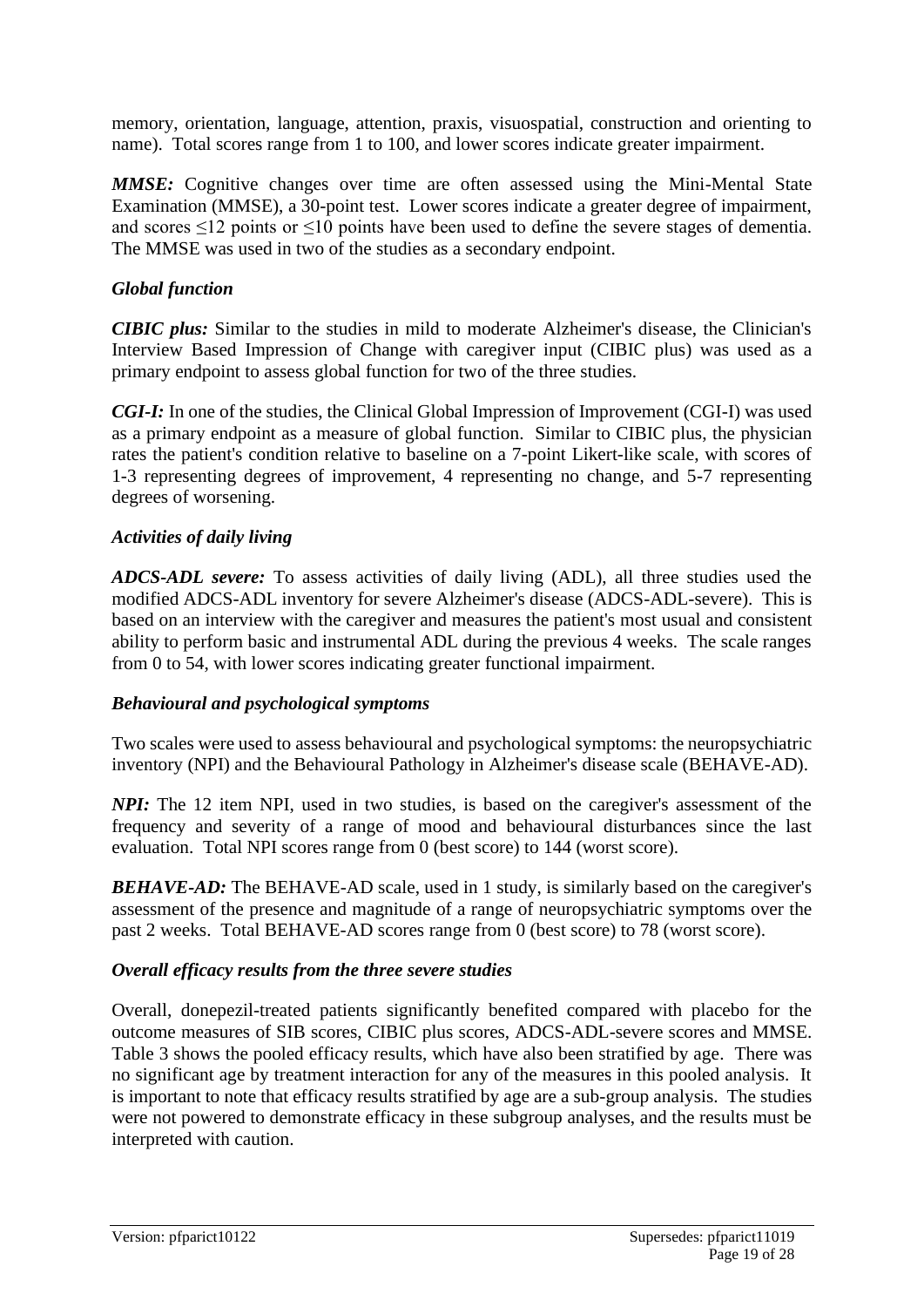memory, orientation, language, attention, praxis, visuospatial, construction and orienting to name). Total scores range from 1 to 100, and lower scores indicate greater impairment.

*MMSE:* Cognitive changes over time are often assessed using the Mini-Mental State Examination (MMSE), a 30-point test. Lower scores indicate a greater degree of impairment, and scores  $\leq$ 12 points or  $\leq$ 10 points have been used to define the severe stages of dementia. The MMSE was used in two of the studies as a secondary endpoint.

#### *Global function*

*CIBIC plus:* Similar to the studies in mild to moderate Alzheimer's disease, the Clinician's Interview Based Impression of Change with caregiver input (CIBIC plus) was used as a primary endpoint to assess global function for two of the three studies.

*CGI-I:* In one of the studies, the Clinical Global Impression of Improvement (CGI-I) was used as a primary endpoint as a measure of global function. Similar to CIBIC plus, the physician rates the patient's condition relative to baseline on a 7-point Likert-like scale, with scores of 1-3 representing degrees of improvement, 4 representing no change, and 5-7 representing degrees of worsening.

#### *Activities of daily living*

*ADCS-ADL severe:* To assess activities of daily living (ADL), all three studies used the modified ADCS-ADL inventory for severe Alzheimer's disease (ADCS-ADL-severe). This is based on an interview with the caregiver and measures the patient's most usual and consistent ability to perform basic and instrumental ADL during the previous 4 weeks. The scale ranges from 0 to 54, with lower scores indicating greater functional impairment.

#### *Behavioural and psychological symptoms*

Two scales were used to assess behavioural and psychological symptoms: the neuropsychiatric inventory (NPI) and the Behavioural Pathology in Alzheimer's disease scale (BEHAVE-AD).

*NPI*: The 12 item NPI, used in two studies, is based on the caregiver's assessment of the frequency and severity of a range of mood and behavioural disturbances since the last evaluation. Total NPI scores range from 0 (best score) to 144 (worst score).

**BEHAVE-AD:** The BEHAVE-AD scale, used in 1 study, is similarly based on the caregiver's assessment of the presence and magnitude of a range of neuropsychiatric symptoms over the past 2 weeks. Total BEHAVE-AD scores range from 0 (best score) to 78 (worst score).

#### *Overall efficacy results from the three severe studies*

Overall, donepezil-treated patients significantly benefited compared with placebo for the outcome measures of SIB scores, CIBIC plus scores, ADCS-ADL-severe scores and MMSE. Table 3 shows the pooled efficacy results, which have also been stratified by age. There was no significant age by treatment interaction for any of the measures in this pooled analysis. It is important to note that efficacy results stratified by age are a sub-group analysis. The studies were not powered to demonstrate efficacy in these subgroup analyses, and the results must be interpreted with caution.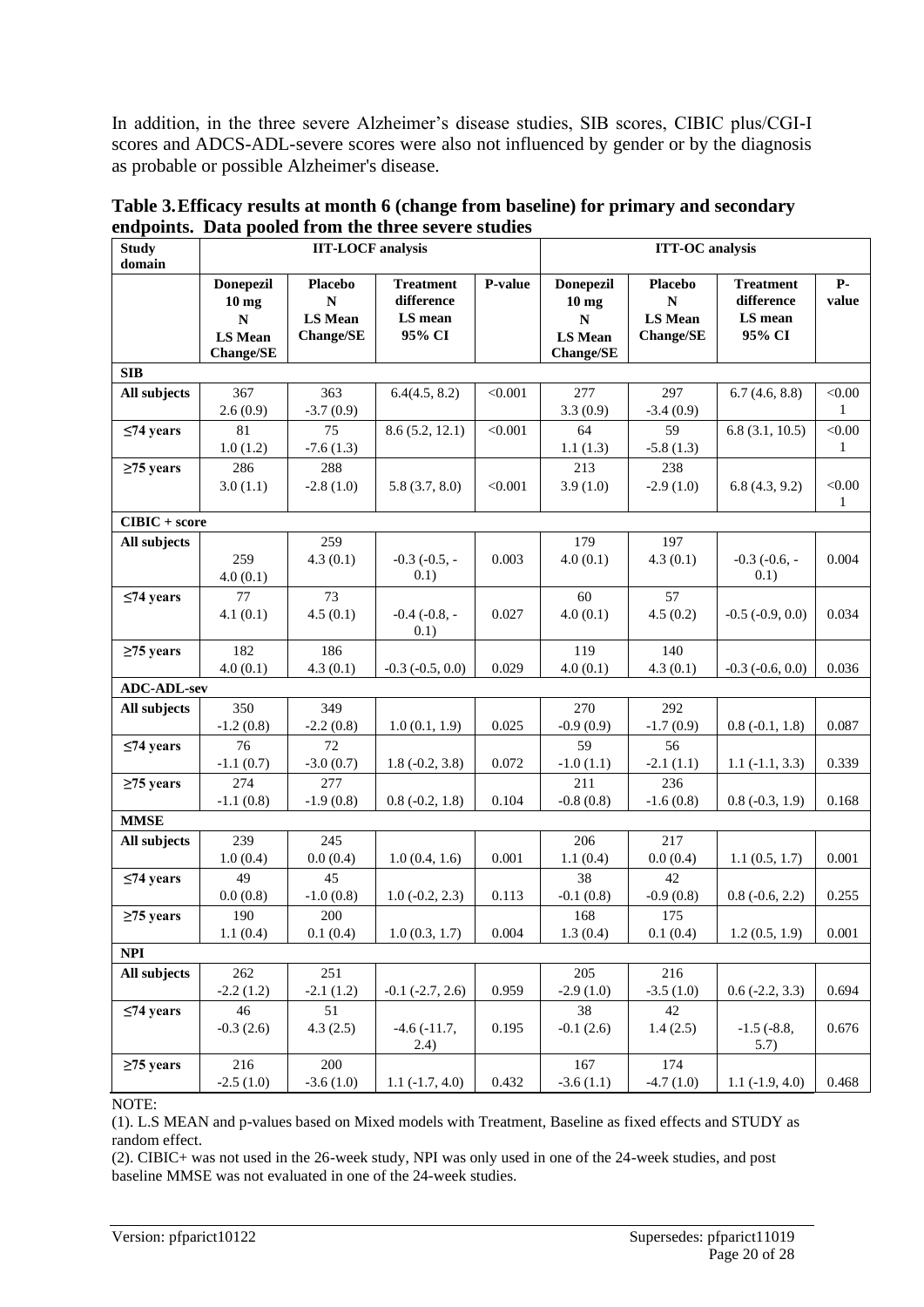In addition, in the three severe Alzheimer's disease studies, SIB scores, CIBIC plus/CGI-I scores and ADCS-ADL-severe scores were also not influenced by gender or by the diagnosis as probable or possible Alzheimer's disease.

| <b>Study</b><br>domain | enaponnes. Data poolea n'om ine un ce severe staates<br><b>IIT-LOCF</b> analysis          |                                                                   |                                                     | <b>ITT-OC</b> analysis |                                                                                         |                                                                     |                                                     |                        |
|------------------------|-------------------------------------------------------------------------------------------|-------------------------------------------------------------------|-----------------------------------------------------|------------------------|-----------------------------------------------------------------------------------------|---------------------------------------------------------------------|-----------------------------------------------------|------------------------|
|                        | <b>Donepezil</b><br>10 <sub>mg</sub><br>$\mathbf N$<br><b>LS Mean</b><br><b>Change/SE</b> | <b>Placebo</b><br>${\bf N}$<br><b>LS Mean</b><br><b>Change/SE</b> | <b>Treatment</b><br>difference<br>LS mean<br>95% CI | P-value                | <b>Donepezil</b><br>10 <sub>mg</sub><br>${\bf N}$<br><b>LS Mean</b><br><b>Change/SE</b> | <b>Placebo</b><br>$\mathbf N$<br><b>LS</b> Mean<br><b>Change/SE</b> | <b>Treatment</b><br>difference<br>LS mean<br>95% CI | <b>P-</b><br>value     |
| <b>SIB</b>             |                                                                                           |                                                                   |                                                     |                        |                                                                                         |                                                                     |                                                     |                        |
| All subjects           | 367<br>2.6(0.9)                                                                           | 363<br>$-3.7(0.9)$                                                | 6.4(4.5, 8.2)                                       | < 0.001                | 277<br>3.3(0.9)                                                                         | 297<br>$-3.4(0.9)$                                                  | 6.7(4.6, 8.8)                                       | < 0.00<br>$\mathbf{1}$ |
| $\leq$ 74 years        | 81<br>1.0(1.2)                                                                            | 75<br>$-7.6(1.3)$                                                 | 8.6(5.2, 12.1)                                      | < 0.001                | 64<br>1.1(1.3)                                                                          | 59<br>$-5.8(1.3)$                                                   | 6.8(3.1, 10.5)                                      | $<\!\!0.00$<br>1       |
| $\geq$ 75 years        | 286<br>3.0(1.1)                                                                           | 288<br>$-2.8(1.0)$                                                | 5.8(3.7, 8.0)                                       | < 0.001                | 213<br>3.9(1.0)                                                                         | 238<br>$-2.9(1.0)$                                                  | 6.8(4.3, 9.2)                                       | < 0.00<br>$\mathbf{1}$ |
| $CIBIC + score$        |                                                                                           |                                                                   |                                                     |                        |                                                                                         |                                                                     |                                                     |                        |
| All subjects           | 259<br>4.0(0.1)                                                                           | 259<br>4.3(0.1)                                                   | $-0.3$ $(-0.5, -$<br>0.1)                           | 0.003                  | 179<br>4.0(0.1)                                                                         | 197<br>4.3(0.1)                                                     | $-0.3$ $(-0.6, -$<br>0.1)                           | 0.004                  |
| $\leq$ 74 years        | 77<br>4.1(0.1)                                                                            | 73<br>4.5(0.1)                                                    | $-0.4$ $(-0.8, -$<br>0.1)                           | 0.027                  | 60<br>4.0(0.1)                                                                          | 57<br>4.5(0.2)                                                      | $-0.5$ $(-0.9, 0.0)$                                | 0.034                  |
| $\geq$ 75 years        | 182<br>4.0(0.1)                                                                           | 186<br>4.3(0.1)                                                   | $-0.3$ $(-0.5, 0.0)$                                | 0.029                  | 119<br>4.0(0.1)                                                                         | 140<br>4.3(0.1)                                                     | $-0.3$ $(-0.6, 0.0)$                                | 0.036                  |
| <b>ADC-ADL-sev</b>     |                                                                                           |                                                                   |                                                     |                        |                                                                                         |                                                                     |                                                     |                        |
| All subjects           | 350<br>$-1.2(0.8)$                                                                        | 349<br>$-2.2(0.8)$                                                | 1.0(0.1, 1.9)                                       | 0.025                  | 270<br>$-0.9(0.9)$                                                                      | 292<br>$-1.7(0.9)$                                                  | $0.8(-0.1, 1.8)$                                    | 0.087                  |
| $\leq$ 74 years        | 76<br>$-1.1(0.7)$                                                                         | 72<br>$-3.0(0.7)$                                                 | $1.8(-0.2, 3.8)$                                    | 0.072                  | 59<br>$-1.0(1.1)$                                                                       | 56<br>$-2.1(1.1)$                                                   | $1.1 (-1.1, 3.3)$                                   | 0.339                  |
| $\geq$ 75 years        | 274<br>$-1.1(0.8)$                                                                        | 277<br>$-1.9(0.8)$                                                | $0.8(-0.2, 1.8)$                                    | 0.104                  | 211<br>$-0.8(0.8)$                                                                      | 236<br>$-1.6(0.8)$                                                  | $0.8(-0.3, 1.9)$                                    | 0.168                  |
| <b>MMSE</b>            |                                                                                           |                                                                   |                                                     |                        |                                                                                         |                                                                     |                                                     |                        |
| All subjects           | 239<br>1.0(0.4)                                                                           | 245<br>0.0(0.4)                                                   | 1.0(0.4, 1.6)                                       | 0.001                  | 206<br>1.1(0.4)                                                                         | 217<br>0.0(0.4)                                                     | 1.1(0.5, 1.7)                                       | 0.001                  |
| $\leq$ 74 years        | 49<br>0.0(0.8)                                                                            | 45<br>$-1.0(0.8)$                                                 | $1.0 (-0.2, 2.3)$                                   | 0.113                  | 38<br>$-0.1(0.8)$                                                                       | 42<br>$-0.9(0.8)$                                                   | $0.8(-0.6, 2.2)$                                    | 0.255                  |
| $\geq$ 75 years        | 190<br>1.1(0.4)                                                                           | 200<br>0.1(0.4)                                                   | 1.0(0.3, 1.7)                                       | 0.004                  | 168<br>1.3(0.4)                                                                         | 175<br>0.1(0.4)                                                     | 1.2(0.5, 1.9)                                       | 0.001                  |
| <b>NPI</b>             |                                                                                           |                                                                   |                                                     |                        |                                                                                         |                                                                     |                                                     |                        |
| All subjects           | 262                                                                                       | 251                                                               |                                                     |                        | 205                                                                                     | 216                                                                 |                                                     |                        |
|                        | $-2.2(1.2)$<br>46                                                                         | $-2.1(1.2)$<br>51                                                 | $-0.1$ $(-2.7, 2.6)$                                | 0.959                  | $-2.9(1.0)$<br>38                                                                       | $-3.5(1.0)$<br>42                                                   | $0.6$ ( $-2.2$ , 3.3)                               | 0.694                  |
| $\leq$ 74 years        | $-0.3(2.6)$                                                                               | 4.3(2.5)                                                          | $-4.6(-11.7,$<br>(2.4)                              | 0.195                  | $-0.1(2.6)$                                                                             | 1.4(2.5)                                                            | $-1.5$ $(-8.8,$<br>5.7)                             | 0.676                  |
| $\geq$ 75 years        | 216<br>$-2.5(1.0)$                                                                        | 200<br>$-3.6(1.0)$                                                | $1.1(-1.7, 4.0)$                                    | 0.432                  | 167<br>$-3.6(1.1)$                                                                      | 174<br>$-4.7(1.0)$                                                  | $1.1(-1.9, 4.0)$                                    | 0.468                  |

|                                                      | Table 3. Efficacy results at month 6 (change from baseline) for primary and secondary |
|------------------------------------------------------|---------------------------------------------------------------------------------------|
| endpoints. Data pooled from the three severe studies |                                                                                       |

NOTE:

(1). L.S MEAN and p-values based on Mixed models with Treatment, Baseline as fixed effects and STUDY as random effect.

(2). CIBIC+ was not used in the 26-week study, NPI was only used in one of the 24-week studies, and post baseline MMSE was not evaluated in one of the 24-week studies.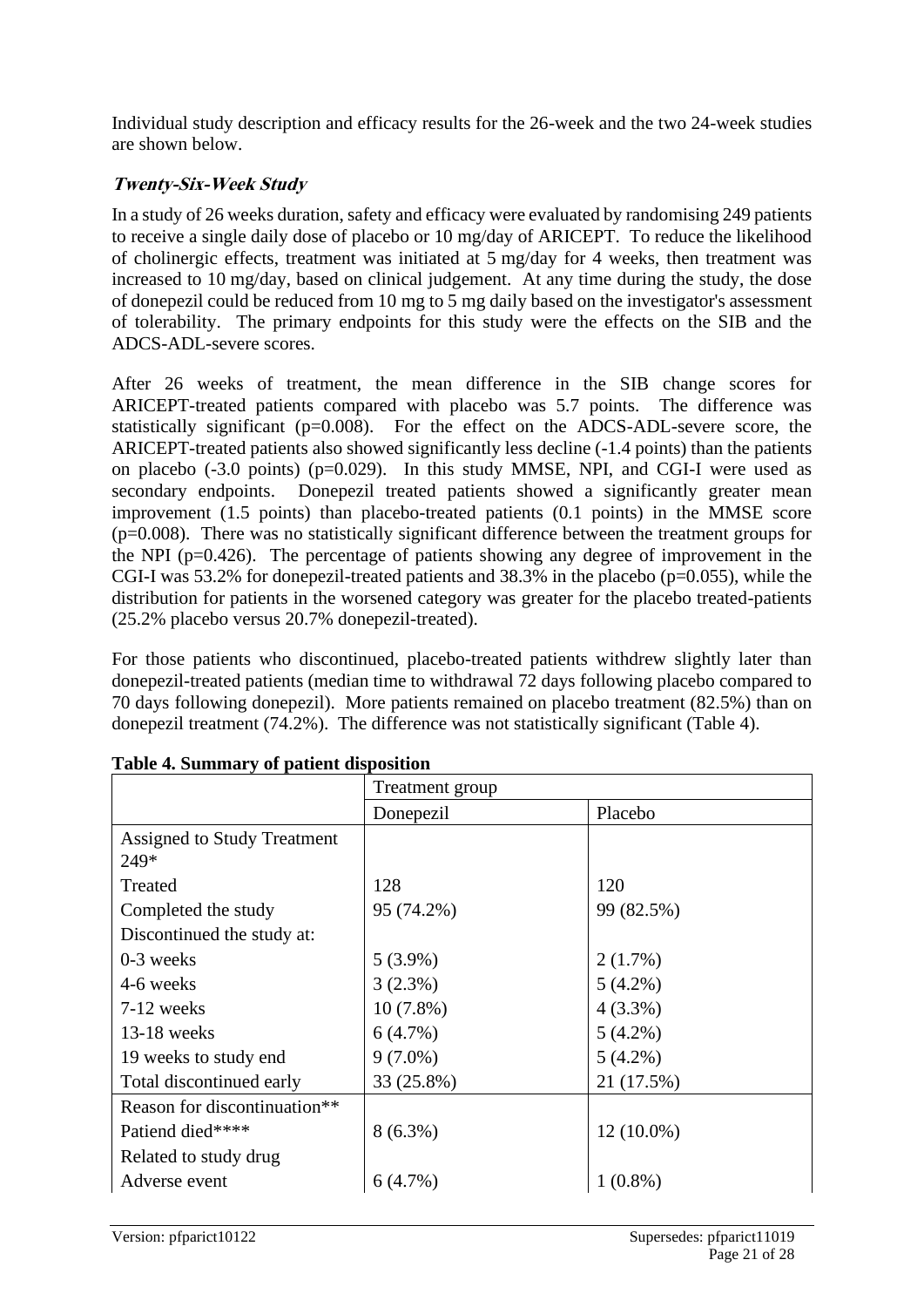Individual study description and efficacy results for the 26-week and the two 24-week studies are shown below.

### **Twenty-Six-Week Study**

In a study of 26 weeks duration, safety and efficacy were evaluated by randomising 249 patients to receive a single daily dose of placebo or 10 mg/day of ARICEPT. To reduce the likelihood of cholinergic effects, treatment was initiated at 5 mg/day for 4 weeks, then treatment was increased to 10 mg/day, based on clinical judgement. At any time during the study, the dose of donepezil could be reduced from 10 mg to 5 mg daily based on the investigator's assessment of tolerability. The primary endpoints for this study were the effects on the SIB and the ADCS-ADL-severe scores.

After 26 weeks of treatment, the mean difference in the SIB change scores for ARICEPT-treated patients compared with placebo was 5.7 points. The difference was statistically significant (p=0.008). For the effect on the ADCS-ADL-severe score, the ARICEPT-treated patients also showed significantly less decline (-1.4 points) than the patients on placebo  $(-3.0 \text{ points})$  ( $p=0.029$ ). In this study MMSE, NPI, and CGI-I were used as secondary endpoints. Donepezil treated patients showed a significantly greater mean improvement (1.5 points) than placebo-treated patients (0.1 points) in the MMSE score (p=0.008). There was no statistically significant difference between the treatment groups for the NPI ( $p=0.426$ ). The percentage of patients showing any degree of improvement in the CGI-I was 53.2% for donepezil-treated patients and 38.3% in the placebo (p=0.055), while the distribution for patients in the worsened category was greater for the placebo treated-patients (25.2% placebo versus 20.7% donepezil-treated).

For those patients who discontinued, placebo-treated patients withdrew slightly later than donepezil-treated patients (median time to withdrawal 72 days following placebo compared to 70 days following donepezil). More patients remained on placebo treatment (82.5%) than on donepezil treatment (74.2%). The difference was not statistically significant (Table 4).

|                                          | Treatment group |              |  |
|------------------------------------------|-----------------|--------------|--|
|                                          | Donepezil       | Placebo      |  |
| Assigned to Study Treatment              |                 |              |  |
| 249*                                     |                 |              |  |
| Treated                                  | 128             | 120          |  |
| Completed the study                      | 95 (74.2%)      | 99 (82.5%)   |  |
| Discontinued the study at:               |                 |              |  |
| $0-3$ weeks                              | $5(3.9\%)$      | 2(1.7%)      |  |
| 4-6 weeks                                | 3(2.3%)         | $5(4.2\%)$   |  |
| 7-12 weeks                               | $10(7.8\%)$     | $4(3.3\%)$   |  |
| $13-18$ weeks                            | 6(4.7%)         | $5(4.2\%)$   |  |
| 19 weeks to study end                    | $9(7.0\%)$      | $5(4.2\%)$   |  |
| Total discontinued early                 | 33 (25.8%)      | 21 (17.5%)   |  |
| Reason for discontinuation <sup>**</sup> |                 |              |  |
| Patiend died****                         | $8(6.3\%)$      | $12(10.0\%)$ |  |
| Related to study drug                    |                 |              |  |
| Adverse event                            | $6(4.7\%)$      | $1(0.8\%)$   |  |

| Table 4. Summary of patient disposition |  |  |  |
|-----------------------------------------|--|--|--|
|                                         |  |  |  |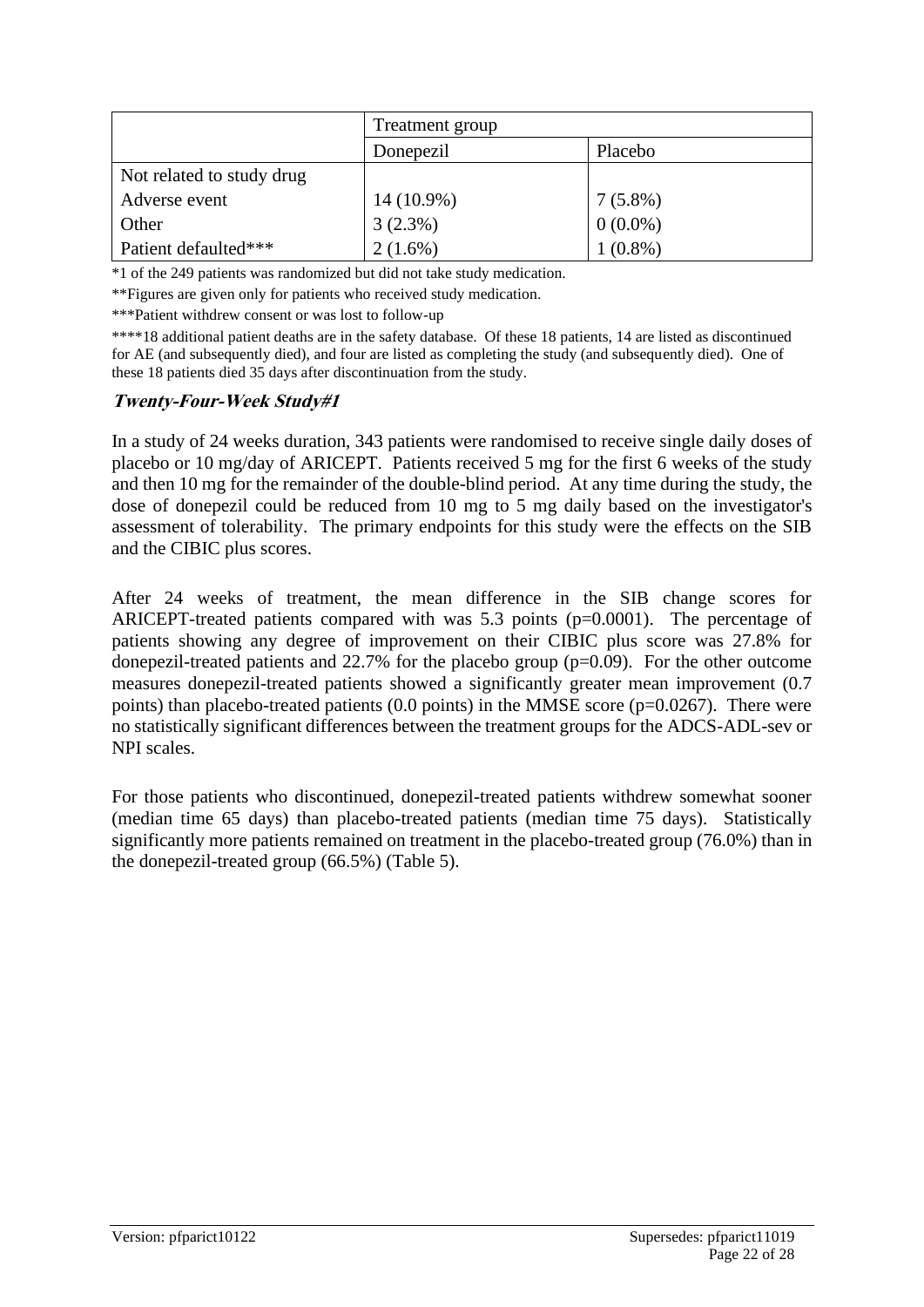|                           | Treatment group |            |  |
|---------------------------|-----------------|------------|--|
|                           | Donepezil       | Placebo    |  |
| Not related to study drug |                 |            |  |
| Adverse event             | 14 (10.9%)      | $7(5.8\%)$ |  |
| Other                     | 3(2.3%)         | $0(0.0\%)$ |  |
| Patient defaulted***      | $2(1.6\%)$      | $1(0.8\%)$ |  |

\*1 of the 249 patients was randomized but did not take study medication.

\*\*Figures are given only for patients who received study medication.

\*\*\*Patient withdrew consent or was lost to follow-up

\*\*\*\*18 additional patient deaths are in the safety database. Of these 18 patients, 14 are listed as discontinued for AE (and subsequently died), and four are listed as completing the study (and subsequently died). One of these 18 patients died 35 days after discontinuation from the study.

#### **Twenty-Four-Week Study#1**

In a study of 24 weeks duration, 343 patients were randomised to receive single daily doses of placebo or 10 mg/day of ARICEPT. Patients received 5 mg for the first 6 weeks of the study and then 10 mg for the remainder of the double-blind period. At any time during the study, the dose of donepezil could be reduced from 10 mg to 5 mg daily based on the investigator's assessment of tolerability. The primary endpoints for this study were the effects on the SIB and the CIBIC plus scores.

After 24 weeks of treatment, the mean difference in the SIB change scores for ARICEPT-treated patients compared with was 5.3 points (p=0.0001). The percentage of patients showing any degree of improvement on their CIBIC plus score was 27.8% for donepezil-treated patients and 22.7% for the placebo group (p=0.09). For the other outcome measures donepezil-treated patients showed a significantly greater mean improvement (0.7 points) than placebo-treated patients  $(0.0 \text{ points})$  in the MMSE score  $(p=0.0267)$ . There were no statistically significant differences between the treatment groups for the ADCS-ADL-sev or NPI scales.

For those patients who discontinued, donepezil-treated patients withdrew somewhat sooner (median time 65 days) than placebo-treated patients (median time 75 days). Statistically significantly more patients remained on treatment in the placebo-treated group (76.0%) than in the donepezil-treated group (66.5%) (Table 5).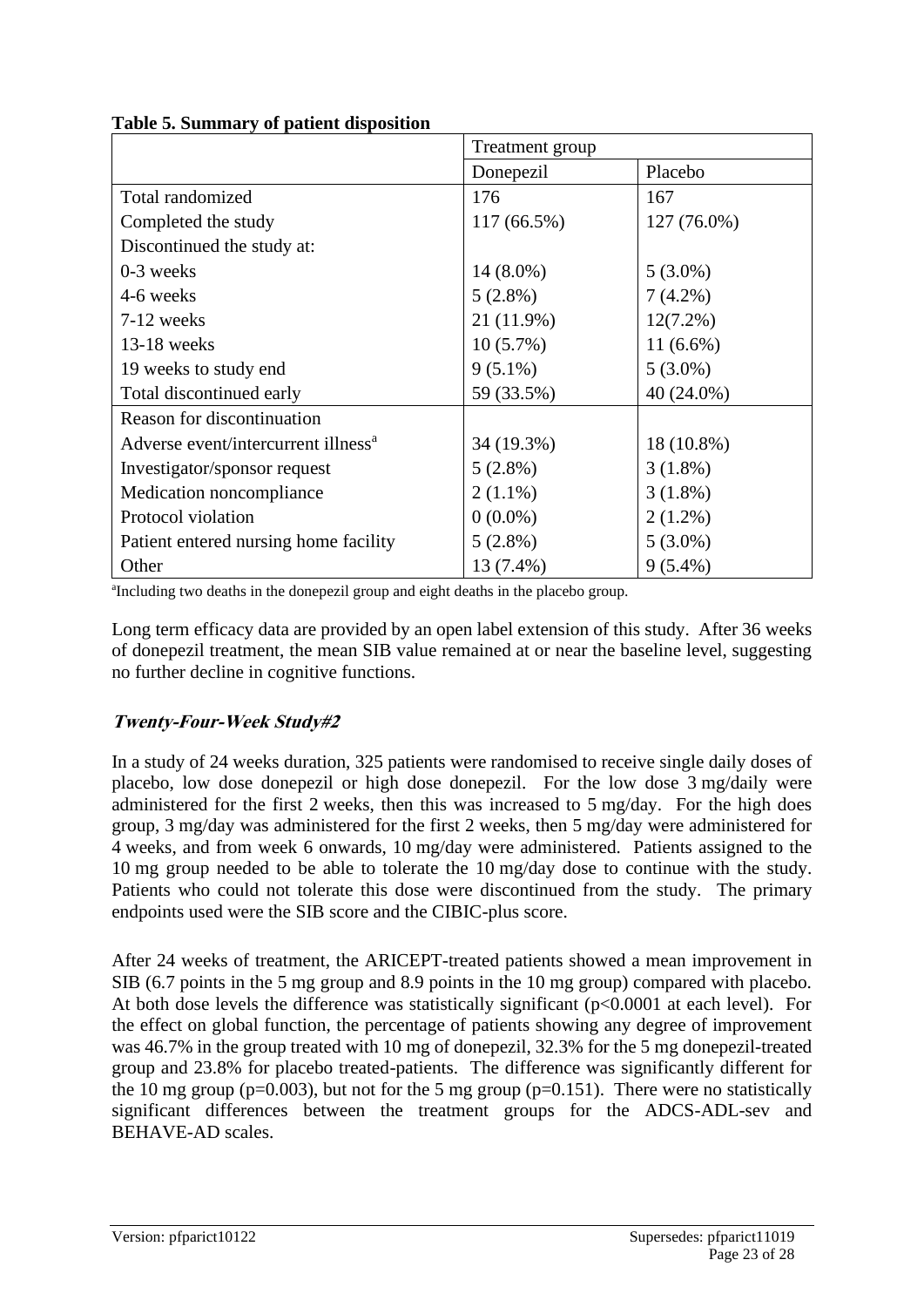| raoic oi bannnary or patient disposition        | Treatment group |             |  |
|-------------------------------------------------|-----------------|-------------|--|
|                                                 | Donepezil       | Placebo     |  |
| Total randomized                                | 176             | 167         |  |
| Completed the study                             | 117 (66.5%)     | 127 (76.0%) |  |
| Discontinued the study at:                      |                 |             |  |
| 0-3 weeks                                       | $14(8.0\%)$     | $5(3.0\%)$  |  |
| 4-6 weeks                                       | $5(2.8\%)$      | $7(4.2\%)$  |  |
| 7-12 weeks                                      | 21 (11.9%)      | $12(7.2\%)$ |  |
| $13-18$ weeks                                   | $10(5.7\%)$     | $11(6.6\%)$ |  |
| 19 weeks to study end                           | $9(5.1\%)$      | $5(3.0\%)$  |  |
| Total discontinued early                        | 59 (33.5%)      | 40 (24.0%)  |  |
| Reason for discontinuation                      |                 |             |  |
| Adverse event/intercurrent illness <sup>a</sup> | 34 (19.3%)      | 18 (10.8%)  |  |
| Investigator/sponsor request                    | $5(2.8\%)$      | $3(1.8\%)$  |  |
| Medication noncompliance                        | $2(1.1\%)$      | $3(1.8\%)$  |  |
| Protocol violation                              | $0(0.0\%)$      | $2(1.2\%)$  |  |
| Patient entered nursing home facility           | $5(2.8\%)$      | $5(3.0\%)$  |  |
| Other                                           | 13 (7.4%)       | $9(5.4\%)$  |  |

**Table 5. Summary of patient disposition**

a Including two deaths in the donepezil group and eight deaths in the placebo group.

Long term efficacy data are provided by an open label extension of this study. After 36 weeks of donepezil treatment, the mean SIB value remained at or near the baseline level, suggesting no further decline in cognitive functions.

### **Twenty-Four-Week Study#2**

In a study of 24 weeks duration, 325 patients were randomised to receive single daily doses of placebo, low dose donepezil or high dose donepezil. For the low dose 3 mg/daily were administered for the first 2 weeks, then this was increased to 5 mg/day. For the high does group, 3 mg/day was administered for the first 2 weeks, then 5 mg/day were administered for 4 weeks, and from week 6 onwards, 10 mg/day were administered. Patients assigned to the 10 mg group needed to be able to tolerate the 10 mg/day dose to continue with the study. Patients who could not tolerate this dose were discontinued from the study. The primary endpoints used were the SIB score and the CIBIC-plus score.

After 24 weeks of treatment, the ARICEPT-treated patients showed a mean improvement in SIB (6.7 points in the 5 mg group and 8.9 points in the 10 mg group) compared with placebo. At both dose levels the difference was statistically significant (p<0.0001 at each level). For the effect on global function, the percentage of patients showing any degree of improvement was 46.7% in the group treated with 10 mg of donepezil, 32.3% for the 5 mg donepezil-treated group and 23.8% for placebo treated-patients. The difference was significantly different for the 10 mg group ( $p=0.003$ ), but not for the 5 mg group ( $p=0.151$ ). There were no statistically significant differences between the treatment groups for the ADCS-ADL-sev and BEHAVE-AD scales.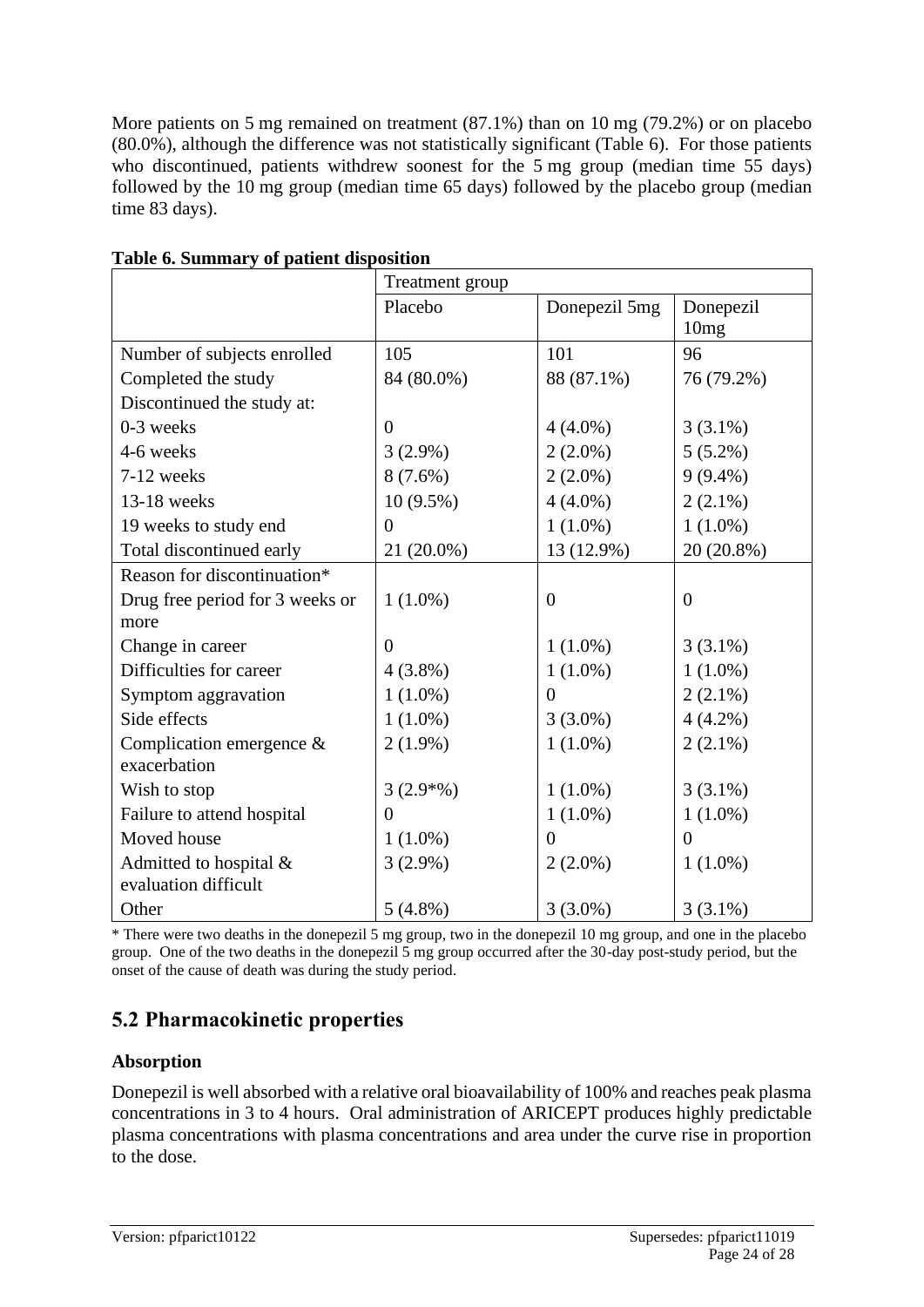More patients on 5 mg remained on treatment (87.1%) than on 10 mg (79.2%) or on placebo (80.0%), although the difference was not statistically significant (Table 6). For those patients who discontinued, patients withdrew soonest for the 5 mg group (median time 55 days) followed by the 10 mg group (median time 65 days) followed by the placebo group (median time 83 days).

| <b>A</b> PRESENT WAPP           | Treatment group |                  |                               |
|---------------------------------|-----------------|------------------|-------------------------------|
|                                 | Placebo         | Donepezil 5mg    | Donepezil<br>10 <sub>mg</sub> |
| Number of subjects enrolled     | 105             | 101              | 96                            |
| Completed the study             | 84 (80.0%)      | 88 (87.1%)       | 76 (79.2%)                    |
| Discontinued the study at:      |                 |                  |                               |
| 0-3 weeks                       | $\theta$        | $4(4.0\%)$       | $3(3.1\%)$                    |
| 4-6 weeks                       | $3(2.9\%)$      | $2(2.0\%)$       | $5(5.2\%)$                    |
| 7-12 weeks                      | $8(7.6\%)$      | $2(2.0\%)$       | $9(9.4\%)$                    |
| 13-18 weeks                     | $10(9.5\%)$     | $4(4.0\%)$       | $2(2.1\%)$                    |
| 19 weeks to study end           | $\overline{0}$  | $1(1.0\%)$       | $1(1.0\%)$                    |
| Total discontinued early        | 21 (20.0%)      | 13 (12.9%)       | 20 (20.8%)                    |
| Reason for discontinuation*     |                 |                  |                               |
| Drug free period for 3 weeks or | $1(1.0\%)$      | $\boldsymbol{0}$ | $\overline{0}$                |
| more                            |                 |                  |                               |
| Change in career                | $\theta$        | $1(1.0\%)$       | $3(3.1\%)$                    |
| Difficulties for career         | $4(3.8\%)$      | $1(1.0\%)$       | $1(1.0\%)$                    |
| Symptom aggravation             | $1(1.0\%)$      | $\Omega$         | $2(2.1\%)$                    |
| Side effects                    | $1(1.0\%)$      | $3(3.0\%)$       | $4(4.2\%)$                    |
| Complication emergence &        | $2(1.9\%)$      | $1(1.0\%)$       | $2(2.1\%)$                    |
| exacerbation                    |                 |                  |                               |
| Wish to stop                    | $3(2.9*%)$      | $1(1.0\%)$       | $3(3.1\%)$                    |
| Failure to attend hospital      | $\theta$        | $1(1.0\%)$       | $1(1.0\%)$                    |
| Moved house                     | $1(1.0\%)$      | 0                | $\theta$                      |
| Admitted to hospital &          | $3(2.9\%)$      | $2(2.0\%)$       | $1(1.0\%)$                    |
| evaluation difficult            |                 |                  |                               |
| Other                           | $5(4.8\%)$      | $3(3.0\%)$       | $3(3.1\%)$                    |

| Table 6. Summary of patient disposition |  |  |
|-----------------------------------------|--|--|
|                                         |  |  |

\* There were two deaths in the donepezil 5 mg group, two in the donepezil 10 mg group, and one in the placebo group. One of the two deaths in the donepezil 5 mg group occurred after the 30-day post-study period, but the onset of the cause of death was during the study period.

# **5.2 Pharmacokinetic properties**

### **Absorption**

Donepezil is well absorbed with a relative oral bioavailability of 100% and reaches peak plasma concentrations in 3 to 4 hours. Oral administration of ARICEPT produces highly predictable plasma concentrations with plasma concentrations and area under the curve rise in proportion to the dose.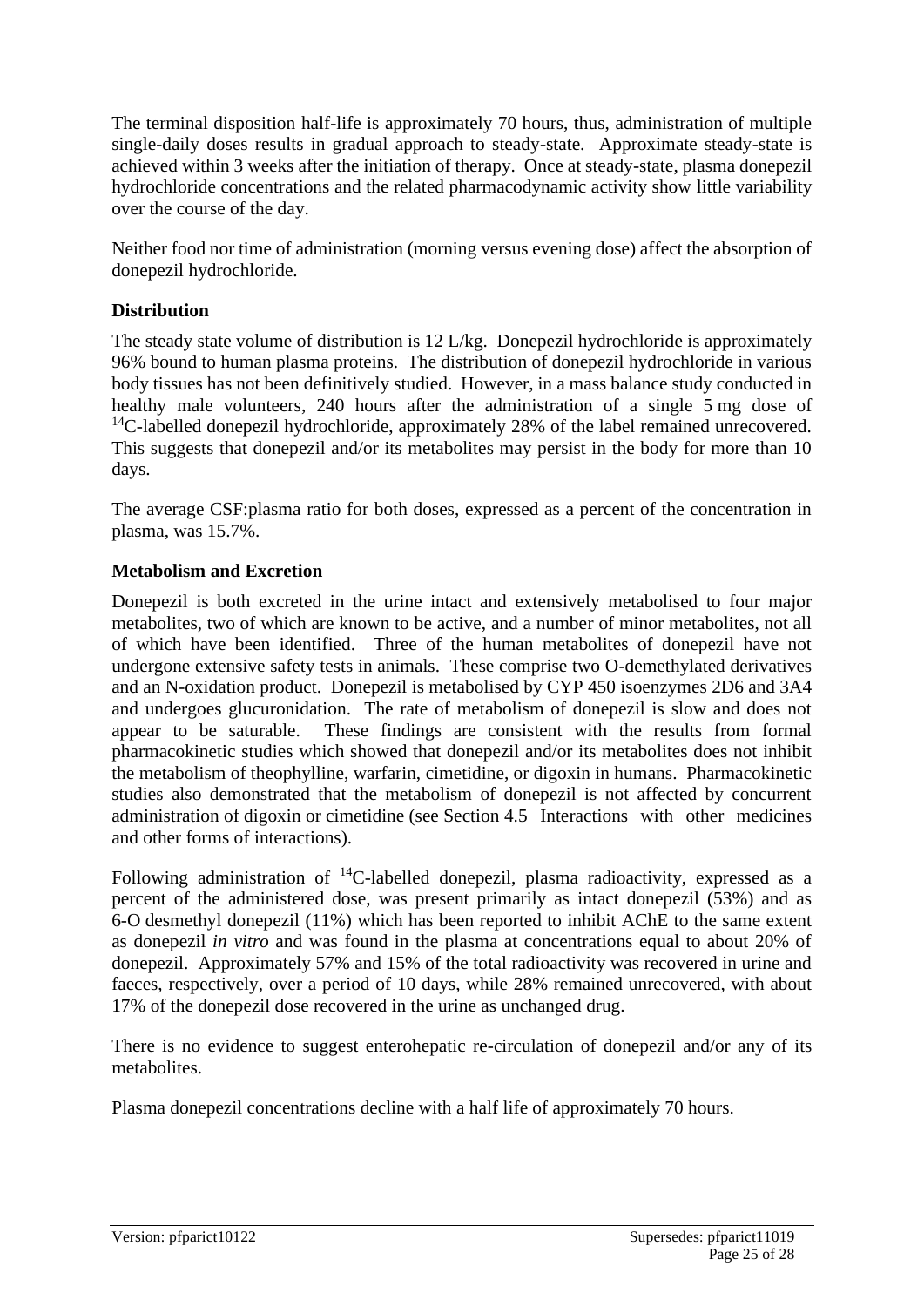The terminal disposition half-life is approximately 70 hours, thus, administration of multiple single-daily doses results in gradual approach to steady-state. Approximate steady-state is achieved within 3 weeks after the initiation of therapy. Once at steady-state, plasma donepezil hydrochloride concentrations and the related pharmacodynamic activity show little variability over the course of the day.

Neither food nor time of administration (morning versus evening dose) affect the absorption of donepezil hydrochloride.

#### **Distribution**

The steady state volume of distribution is 12 L/kg. Donepezil hydrochloride is approximately 96% bound to human plasma proteins. The distribution of donepezil hydrochloride in various body tissues has not been definitively studied. However, in a mass balance study conducted in healthy male volunteers, 240 hours after the administration of a single 5 mg dose of <sup>14</sup>C-labelled donepezil hydrochloride, approximately 28% of the label remained unrecovered. This suggests that donepezil and/or its metabolites may persist in the body for more than 10 days.

The average CSF:plasma ratio for both doses, expressed as a percent of the concentration in plasma, was 15.7%.

#### **Metabolism and Excretion**

Donepezil is both excreted in the urine intact and extensively metabolised to four major metabolites, two of which are known to be active, and a number of minor metabolites, not all of which have been identified. Three of the human metabolites of donepezil have not undergone extensive safety tests in animals. These comprise two O-demethylated derivatives and an N-oxidation product. Donepezil is metabolised by CYP 450 isoenzymes 2D6 and 3A4 and undergoes glucuronidation. The rate of metabolism of donepezil is slow and does not appear to be saturable. These findings are consistent with the results from formal pharmacokinetic studies which showed that donepezil and/or its metabolites does not inhibit the metabolism of theophylline, warfarin, cimetidine, or digoxin in humans. Pharmacokinetic studies also demonstrated that the metabolism of donepezil is not affected by concurrent administration of digoxin or cimetidine (see Section 4.5 Interactions with other medicines and other forms of interactions).

Following administration of  $^{14}$ C-labelled donepezil, plasma radioactivity, expressed as a percent of the administered dose, was present primarily as intact donepezil (53%) and as 6-O desmethyl donepezil (11%) which has been reported to inhibit AChE to the same extent as donepezil *in vitro* and was found in the plasma at concentrations equal to about 20% of donepezil. Approximately 57% and 15% of the total radioactivity was recovered in urine and faeces, respectively, over a period of 10 days, while 28% remained unrecovered, with about 17% of the donepezil dose recovered in the urine as unchanged drug.

There is no evidence to suggest enterohepatic re-circulation of donepezil and/or any of its metabolites.

Plasma donepezil concentrations decline with a half life of approximately 70 hours.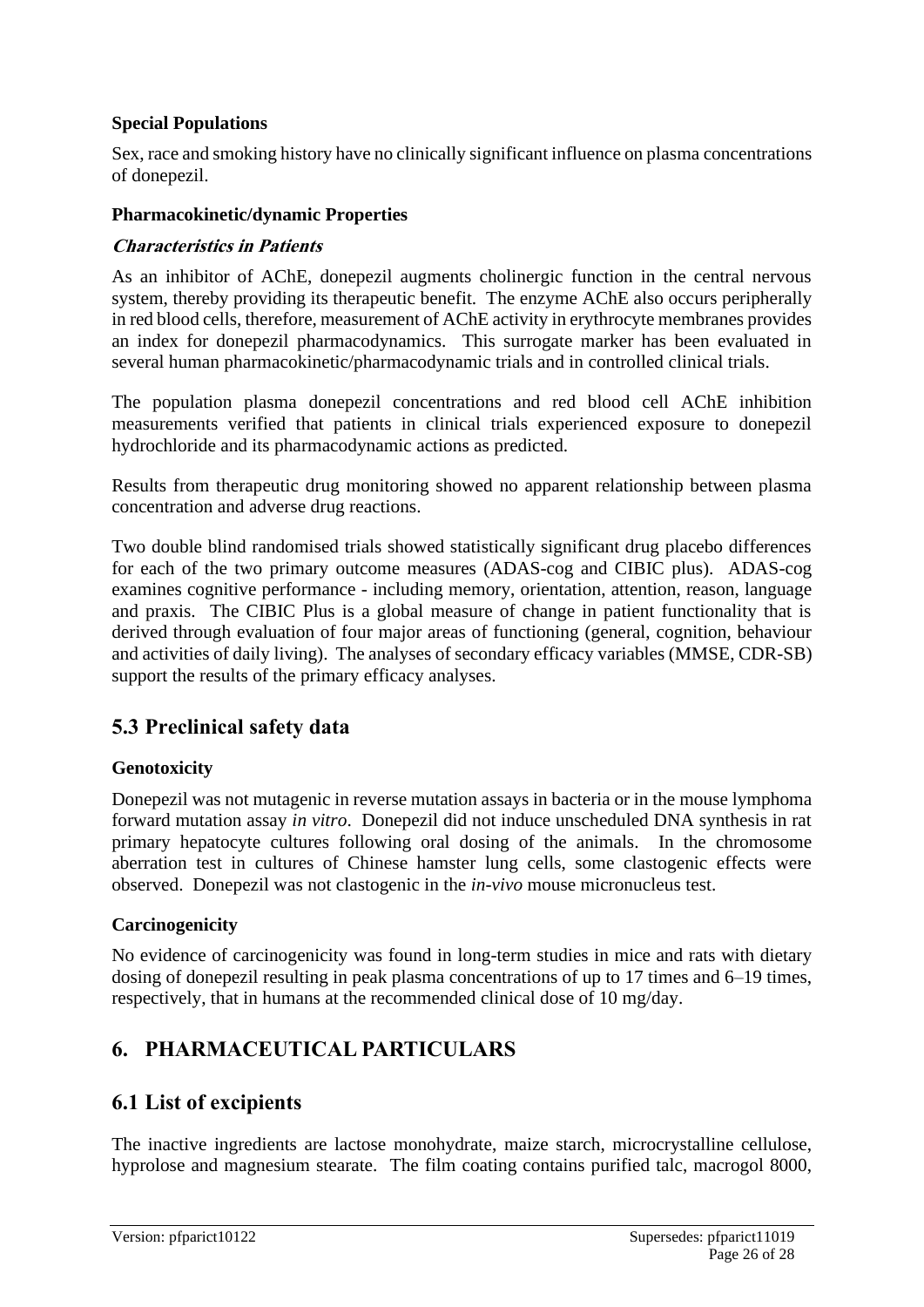#### **Special Populations**

Sex, race and smoking history have no clinically significant influence on plasma concentrations of donepezil.

#### **Pharmacokinetic/dynamic Properties**

#### **Characteristics in Patients**

As an inhibitor of AChE, donepezil augments cholinergic function in the central nervous system, thereby providing its therapeutic benefit. The enzyme AChE also occurs peripherally in red blood cells, therefore, measurement of AChE activity in erythrocyte membranes provides an index for donepezil pharmacodynamics. This surrogate marker has been evaluated in several human pharmacokinetic/pharmacodynamic trials and in controlled clinical trials.

The population plasma donepezil concentrations and red blood cell AChE inhibition measurements verified that patients in clinical trials experienced exposure to donepezil hydrochloride and its pharmacodynamic actions as predicted.

Results from therapeutic drug monitoring showed no apparent relationship between plasma concentration and adverse drug reactions.

Two double blind randomised trials showed statistically significant drug placebo differences for each of the two primary outcome measures (ADAS-cog and CIBIC plus). ADAS-cog examines cognitive performance - including memory, orientation, attention, reason, language and praxis. The CIBIC Plus is a global measure of change in patient functionality that is derived through evaluation of four major areas of functioning (general, cognition, behaviour and activities of daily living). The analyses of secondary efficacy variables (MMSE, CDR-SB) support the results of the primary efficacy analyses.

# **5.3 Preclinical safety data**

### **Genotoxicity**

Donepezil was not mutagenic in reverse mutation assays in bacteria or in the mouse lymphoma forward mutation assay *in vitro*. Donepezil did not induce unscheduled DNA synthesis in rat primary hepatocyte cultures following oral dosing of the animals. In the chromosome aberration test in cultures of Chinese hamster lung cells, some clastogenic effects were observed. Donepezil was not clastogenic in the *in-vivo* mouse micronucleus test.

#### **Carcinogenicity**

No evidence of carcinogenicity was found in long-term studies in mice and rats with dietary dosing of donepezil resulting in peak plasma concentrations of up to 17 times and 6–19 times, respectively, that in humans at the recommended clinical dose of 10 mg/day.

# **6. PHARMACEUTICAL PARTICULARS**

### **6.1 List of excipients**

The inactive ingredients are lactose monohydrate, maize starch, microcrystalline cellulose, hyprolose and magnesium stearate. The film coating contains purified talc, macrogol 8000,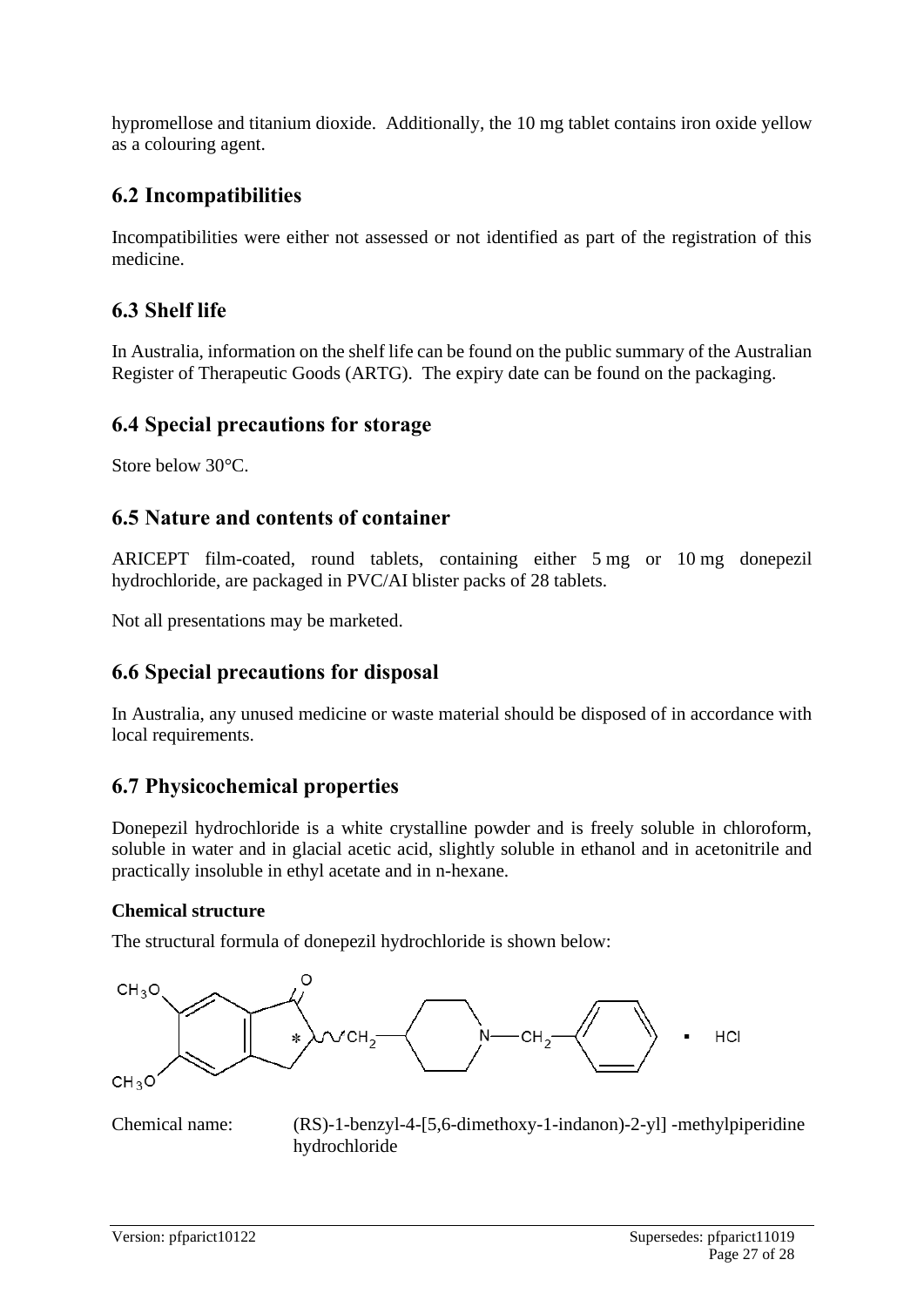hypromellose and titanium dioxide. Additionally, the 10 mg tablet contains iron oxide yellow as a colouring agent.

# **6.2 Incompatibilities**

Incompatibilities were either not assessed or not identified as part of the registration of this medicine.

# **6.3 Shelf life**

In Australia, information on the shelf life can be found on the public summary of the Australian Register of Therapeutic Goods (ARTG). The expiry date can be found on the packaging.

### **6.4 Special precautions for storage**

Store below 30°C.

# **6.5 Nature and contents of container**

ARICEPT film-coated, round tablets, containing either 5 mg or 10 mg donepezil hydrochloride, are packaged in PVC/AI blister packs of 28 tablets.

Not all presentations may be marketed.

# **6.6 Special precautions for disposal**

In Australia, any unused medicine or waste material should be disposed of in accordance with local requirements.

# **6.7 Physicochemical properties**

Donepezil hydrochloride is a white crystalline powder and is freely soluble in chloroform, soluble in water and in glacial acetic acid, slightly soluble in ethanol and in acetonitrile and practically insoluble in ethyl acetate and in n-hexane.

### **Chemical structure**

The structural formula of donepezil hydrochloride is shown below:



Chemical name: (RS)-1-benzyl-4-[5,6-dimethoxy-1-indanon)-2-yl] -methylpiperidine hydrochloride